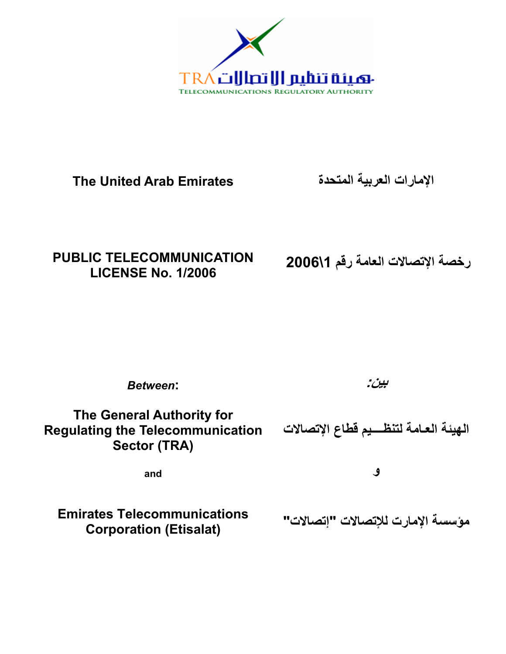

**The United Arab Emirates** 

**الإمارات العربية المتحدة**

# **PUBLIC TELECOMMUNICATION LICENSE No. 1/2006**

**رخصة الإتصالات العامة رقم \1 2006** 

*Between***:** 

**بين:**

**The General Authority for Regulating the Telecommunication Sector (TRA) الهيئة العـامة لتنظــــيم قطاع الإتصالات** 

**and** 

**و** 

**Emirates Telecommunications Corporation (Etisalat)** 

**مؤسسة الإمارت للإتصالات "إتصالات"**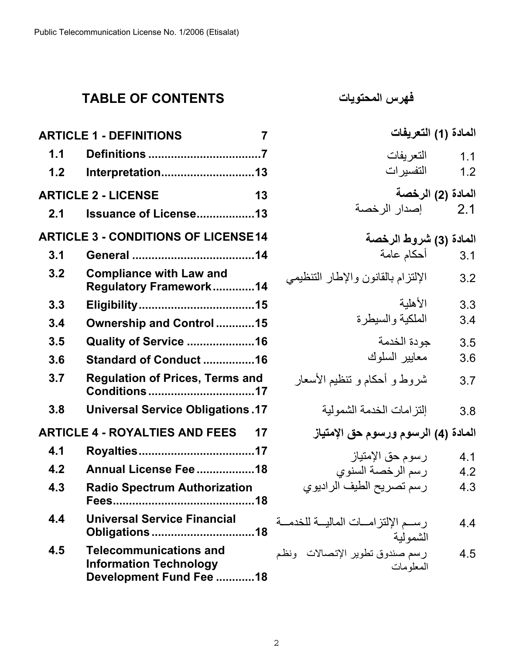# **TABLE OF CONTENTS**

|     | <b>ARTICLE 1 - DEFINITIONS</b>                                                            | 7  |
|-----|-------------------------------------------------------------------------------------------|----|
| 1.1 |                                                                                           |    |
| 1.2 | Interpretation13                                                                          |    |
|     | <b>ARTICLE 2 - LICENSE</b>                                                                | 13 |
| 2.1 | <b>Issuance of License13</b>                                                              |    |
|     | <b>ARTICLE 3 - CONDITIONS OF LICENSE14</b>                                                |    |
| 3.1 |                                                                                           |    |
| 3.2 | <b>Compliance with Law and</b><br>Regulatory Framework14                                  |    |
| 3.3 |                                                                                           |    |
| 3.4 | Ownership and Control15                                                                   |    |
| 3.5 | <b>Quality of Service 16</b>                                                              |    |
| 3.6 | Standard of Conduct 16                                                                    |    |
| 3.7 | <b>Regulation of Prices, Terms and</b><br>Conditions 17                                   |    |
| 3.8 | <b>Universal Service Obligations.17</b>                                                   |    |
|     | <b>ARTICLE 4 - ROYALTIES AND FEES</b>                                                     | 17 |
| 4.1 |                                                                                           |    |
| 4.2 | Annual License Fee 18                                                                     |    |
| 4.3 | <b>Radio Spectrum Authorization</b>                                                       |    |
| 4.4 | <b>Universal Service Financial</b><br><b>Obligations 18</b>                               |    |
| 4.5 | <b>Telecommunications and</b><br><b>Information Technology</b><br>Development Fund Fee 18 |    |

**فهرس المحتويات**

| المادة (1) التعريفات                                              |                   |
|-------------------------------------------------------------------|-------------------|
| التعريفات<br>التفسيرات                                            | 1.1<br>1.2        |
| المادة (2) الرخصة<br>إصدار الرخصة                                 | 2.1               |
| ا <b>لمادة (3) شروط الرخصة</b><br>3.1                             | 3.1               |
| الإلتزام بالقانون والإطار التنظيمي                                | 3.2               |
| الأهلية<br>الملكية والسيطرة                                       | 3.3<br>3.4        |
| جودة الخدمة<br>معابير السلوك                                      | 3.5<br>3.6        |
| شروط و أحكام و تنظيم الأسعار                                      | 3.7               |
| إلتزامات الخدمة الشمولية                                          | 3.8               |
| المادة (4) الرسوم ورسوم حق الإمتياز                               |                   |
| رسوم حق الإمتياز<br>رسم الرخصة السنوي<br>رسم تصريح الطيف الراديوي | 4.1<br>4.2<br>4.3 |
| رســم الإلتزامـــات الماليـــة للخدمـــة<br>الشمو لية             | 4.4               |
| رسم صندوق تطوير الإتصالات ونظم<br>المعلومات                       | 4.5               |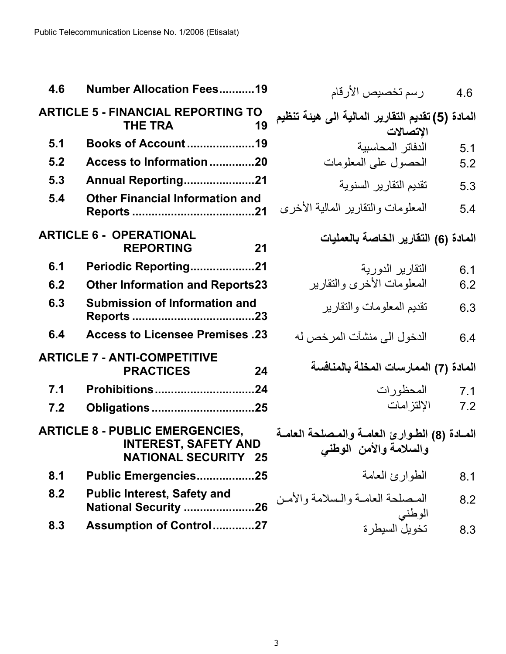Public Telecommunication License No. 1/2006 (Etisalat)

| 4.6 | <b>Number Allocation Fees19</b>                                                                      |             |
|-----|------------------------------------------------------------------------------------------------------|-------------|
|     | <b>ARTICLE 5 - FINANCIAL REPORTING TO</b><br><b>THE TRA</b><br>19                                    | هبئة تنظيم  |
| 5.1 | <b>Books of Account19</b>                                                                            |             |
| 5.2 | Access to Information 20                                                                             |             |
| 5.3 | Annual Reporting21                                                                                   |             |
| 5.4 | <b>Other Financial Information and</b>                                                               | ة الأخرى    |
|     | <b>ARTICLE 6 - OPERATIONAL</b><br><b>REPORTING</b><br>21                                             |             |
| 6.1 | Periodic Reporting21                                                                                 |             |
| 6.2 | <b>Other Information and Reports23</b>                                                               | ير          |
| 6.3 | <b>Submission of Information and</b>                                                                 |             |
| 6.4 | <b>Access to Licensee Premises .23</b>                                                               | ص له        |
|     | <b>ARTICLE 7 - ANTI-COMPETITIVE</b><br><b>PRACTICES</b><br>24                                        | ىمة         |
| 7.1 | Prohibitions24                                                                                       |             |
| 7.2 | <b>Obligations 25</b>                                                                                |             |
|     | <b>ARTICLE 8 - PUBLIC EMERGENCIES,</b><br><b>INTEREST, SAFETY AND</b><br><b>NATIONAL SECURITY 25</b> | حة العامــة |
| 8.1 | Public Emergencies25                                                                                 |             |
| 8.2 | <b>Public Interest, Safety and</b><br>National Security 26                                           | مة والأمــن |
| 8.3 | Assumption of Control27                                                                              |             |

4.6 رسم تخصيص الأرقام

**المادة )5( تقديم التقارير المالية الى هيئة تنظيم الإتصالات** 

5.1  
5.1 = 
$$
\frac{1}{2}
$$

5.3 تقديم التقارير السنوية

5.4 المعلومات والتقارير المالية الأخرى

**المادة )6( التقارير الخاصة بالعمليات**

6.1 التقارير الدورية 6.2 المعلومات الأخرى والتقارير

6.3 تقديم المعلومات والتقارير

6.4 الدخول الى منشآت المرخص له

**المادة )7( الممارسات المخلة بالمنافسة**  7.1 المحظورات

7.2 الإلتزامات

**المѧѧادة )8( الطѧѧوارئ العامѧѧة والمѧѧصلحة العامѧѧة والسلامة والأمن الوطني**

8.1 الطوارئ العامة

8.2 المѧѧصلحة العامѧѧة والѧѧسلامة والأمѧѧن الوطني

8.3 تخويل السيطرة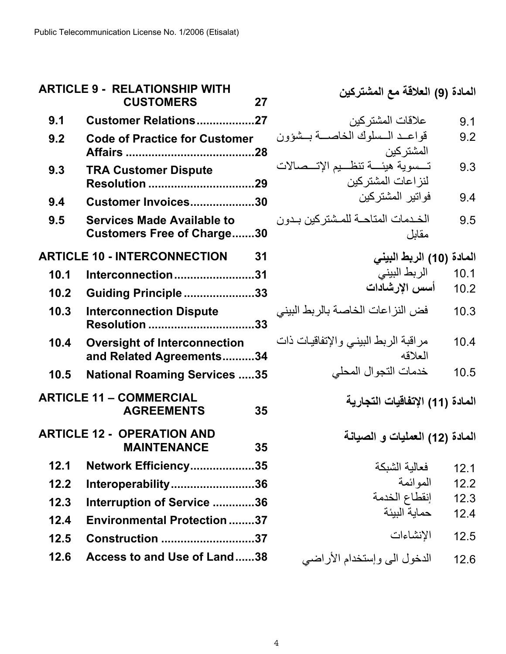| <b>ARTICLE 9 - RELATIONSHIP WITH</b><br><b>CUSTOMERS</b><br>27 |                                                                        | المادة (9) العلاقة مع المشتركين                              |
|----------------------------------------------------------------|------------------------------------------------------------------------|--------------------------------------------------------------|
| 9.1                                                            | <b>Customer Relations27</b>                                            | علاقات المشتركين<br>9.1                                      |
| 9.2                                                            | <b>Code of Practice for Customer</b><br>.28                            | قواعـد الـسلوك الخاصــة بــشؤون<br>9.2<br>المشنر كين         |
| 9.3                                                            | <b>TRA Customer Dispute</b><br>Resolution 29                           | تسسوية هيئسة تنظسيم الإتسصالات<br>9.3<br>لنز اعات المشتر كين |
| 9.4                                                            | Customer Invoices30                                                    | فواتير المشتركين<br>9.4                                      |
| 9.5                                                            | <b>Services Made Available to</b><br><b>Customers Free of Charge30</b> | الخدمات المتاحة للمشتركين بدون<br>9.5<br>مقابل               |
| <b>ARTICLE 10 - INTERCONNECTION</b><br>31                      |                                                                        | المادة (10) الربط البيني                                     |
| 10.1                                                           | Interconnection31                                                      | الربط البيني<br>10.1                                         |
| 10.2                                                           | Guiding Principle33                                                    | أسس الإرشادات<br>10.2                                        |
| 10.3                                                           | <b>Interconnection Dispute</b><br>.33<br><b>Resolution </b>            | فض النز اعات الخاصة بالربط البيني<br>10.3                    |
| 10.4                                                           | <b>Oversight of Interconnection</b><br>and Related Agreements34        | مراقبة الربط البيني والإتفاقيات ذات<br>10.4<br>العلاقه       |
| 10.5                                                           | <b>National Roaming Services 35</b>                                    | خدمات التجوال المحلي<br>10.5                                 |
|                                                                | <b>ARTICLE 11 - COMMERCIAL</b><br><b>AGREEMENTS</b><br>35              | المادة (11) الإتفاقيات التجارية                              |
|                                                                | <b>ARTICLE 12 - OPERATION AND</b><br>35<br><b>MAINTENANCE</b>          | المادة (12) العمليات و الصيانـة                              |
| 12.1                                                           | Network Efficiency35                                                   | فعالية الشبكة<br>12.1                                        |
| 12.2                                                           | Interoperability36                                                     | المو ائمة<br>12.2                                            |
| 12.3                                                           | Interruption of Service 36                                             | إنقطاع الخدمة<br>12.3                                        |
| 12.4                                                           | <b>Environmental Protection 37</b>                                     | حماية البيئة<br>12.4                                         |
| 12.5                                                           | <b>Construction 37</b>                                                 | الإنشاءات<br>12.5                                            |
| 12.6                                                           | Access to and Use of Land38                                            | الدخول الى وإستخدام الأراضي<br>12.6                          |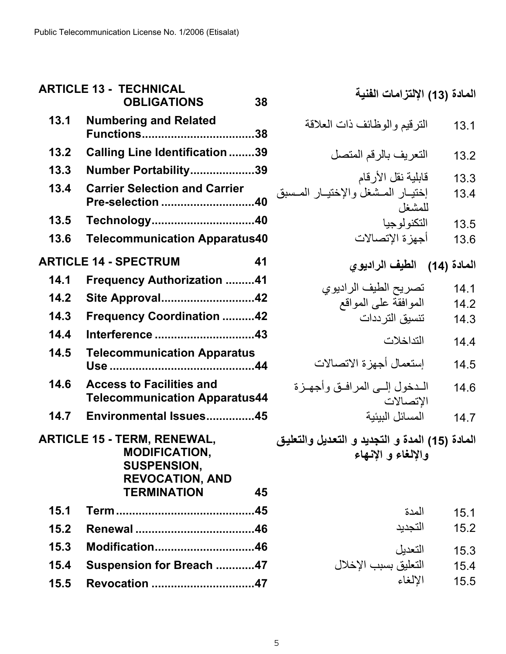| <b>ARTICLE 13 - TECHNICAL</b><br><b>OBLIGATIONS</b><br>38 |                                                                                                            | المادة (13) الإلتزامات الفنية                                        |
|-----------------------------------------------------------|------------------------------------------------------------------------------------------------------------|----------------------------------------------------------------------|
| 13.1                                                      | <b>Numbering and Related</b>                                                                               | النرقيم والوظائف ذات العلاقة<br>13.1                                 |
| 13.2                                                      | <b>Calling Line Identification 39</b>                                                                      | التعريف بالرقم المتصل<br>13.2                                        |
| 13.3                                                      | Number Portability39                                                                                       | قابلية نقل الأرقام<br>13.3                                           |
| 13.4                                                      | <b>Carrier Selection and Carrier</b><br>Pre-selection 40                                                   | إختيار المشغل والإختيار المسبق<br>13.4<br>للمشغل                     |
| 13.5                                                      | Technology40                                                                                               | التكنولوجيا<br>13.5                                                  |
| 13.6                                                      | <b>Telecommunication Apparatus40</b>                                                                       | أجهز ة الإتصالات<br>13.6                                             |
| <b>ARTICLE 14 - SPECTRUM</b><br>41                        |                                                                                                            | المادة (14) الطيف الراديوي                                           |
| 14.1                                                      | <b>Frequency Authorization 41</b>                                                                          | تصريح الطيف الراديوي<br>14.1                                         |
| 14.2                                                      | Site Approval42                                                                                            | الموافقة على المواقع<br>14.2                                         |
| 14.3                                                      | <b>Frequency Coordination 42</b>                                                                           | تنسيق الترددات<br>14.3                                               |
| 14.4                                                      | Interference 43                                                                                            | التداخلات<br>14.4                                                    |
| 14.5                                                      | <b>Telecommunication Apparatus</b>                                                                         | إستعمال أجهزة الاتصالات<br>14.5                                      |
| 14.6                                                      | <b>Access to Facilities and</b><br><b>Telecommunication Apparatus44</b>                                    | المدخول إلسي المرافىق وأجهىزة<br>14.6<br>الإتصالات                   |
| 14.7                                                      | Environmental Issues45                                                                                     | المسائل الببئبة<br>14.7                                              |
|                                                           | <b>ARTICLE 15 - TERM, RENEWAL,</b><br><b>MODIFICATION,</b><br><b>SUSPENSION,</b><br><b>REVOCATION, AND</b> | المادة (15) المدة و التجديد و التعديل والتعليق<br>والإلغاء و الإنهاء |
|                                                           | <b>TERMINATION</b><br>45                                                                                   |                                                                      |
| 15.1                                                      | .45                                                                                                        | المدة<br>15.1                                                        |
| 15.2                                                      |                                                                                                            | التجديد<br>15.2                                                      |
| 15.3                                                      | Modification46                                                                                             | التعديل<br>15.3                                                      |
| 15.4                                                      | Suspension for Breach 47                                                                                   | التعليق بسبب الإخلال<br>15.4                                         |
| 15.5                                                      | Revocation 47                                                                                              | الإلغاء<br>15.5                                                      |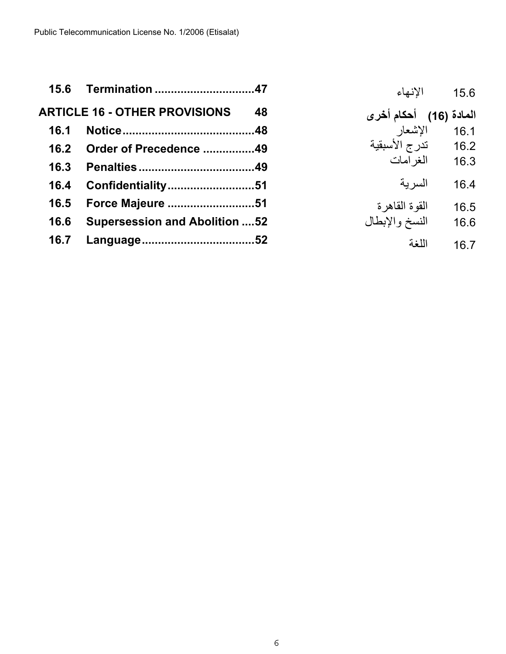| 15.6 | Termination 47                        |    | الانهاء                 | 15.6   |
|------|---------------------------------------|----|-------------------------|--------|
|      | <b>ARTICLE 16 - OTHER PROVISIONS</b>  | 48 | (16) أحكام أخر <i>ى</i> | المادة |
| 16.1 |                                       |    | الإشعار                 | 16.1   |
| 16.2 | Order of Precedence 49                |    | تدرج الأسبقية           | 16.2   |
| 16.3 |                                       |    | المغر امات              | 16.3   |
| 16.4 | Confidentiality51                     |    | السر بة                 | 16.4   |
| 16.5 | Force Majeure 51                      |    | القو ة القاهر ة         | 16.5   |
| 16.6 | <b>Supersession and Abolition  52</b> |    | النسخ والإبطال          | 16.6   |
| 16.7 |                                       |    | اللغة                   | 16.7   |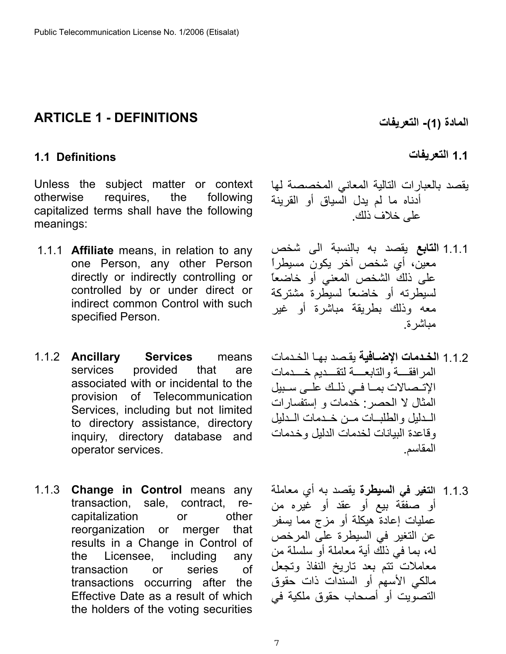## <span id="page-6-0"></span>**ARTICLE 1 - DEFINITIONS**

#### <span id="page-6-1"></span>**1.1 Definitions**

Unless the subject matter or context otherwise requires, the following capitalized terms shall have the following meanings:

- 1.1.1 **Affiliate** means, in relation to any one Person, any other Person directly or indirectly controlling or controlled by or under direct or indirect common Control with such specified Person.
- 1.1.2 **Ancillary Services** means services provided that are associated with or incidental to the provision of Telecommunication Services, including but not limited to directory assistance, directory inquiry, directory database and operator services.
- 1.1.3 **Change in Control** means any transaction, sale, contract, recapitalization or other reorganization or merger that results in a Change in Control of the Licensee, including any transaction or series of transactions occurring after the Effective Date as a result of which the holders of the voting securities

**المادة )1( - التعريفات** 

#### **1.1 التعريفات**

- يقصد بالعبارات التالية المعاني المخصصة لها أدناه ما لم يدل السياق أو القرينة على خلاف ذلك .
- 1.1.1 **التابع** يقصد به بالنسبة الى شخص معين، أي شخص آخر يكون مسيطراً على ذلك الشخص المعني أو خاضعاً لسيطرته أو خاضعاً لسيطرة مشترآة معه وذلك بطريقة مباشرة أو غير مباشرة.
- 1.1.2 **الخدمات الإضافية** يقصد بها الخدمات المرافقه والتابعهة لتقسديم خسدمات الإتىصالات بما في ذلك على سبيل المثال لا الحصر: خدمات و إستفسارات المدليل والطلبات مسن خدمات المدليل وقاعدة البيانات لخدمات الدليل وخدمات المقاسم .
- 1.1.3 **التغير في السيطرة** يقصد به أي معاملة أو صفقة بيع أو عقد أو غيره من عمليات إعادة هيكلة أو مزج مما يسفر عن التغير في السيطرة على المرخص له، بما في ذلك أية معاملة أو سلسلة من معاملات تتم بعد تاريخ النفاذ وتجعل مالكي الأسهم أو السندات ذات حقوق التصويت أو أصحاب حقوق ملكية في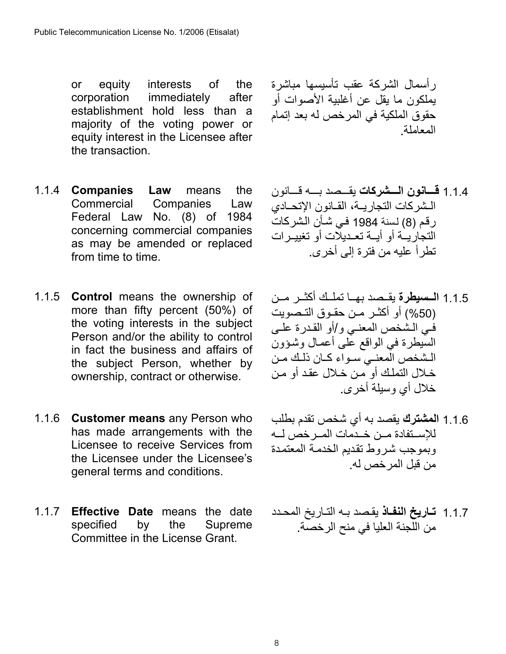or equity interests of the corporation immediately after establishment hold less than a majority of the voting power or equity interest in the Licensee after the transaction.

- 1.1.4 **Companies Law** means the Commercial Companies Law Federal Law No. (8) of 1984 concerning commercial companies as may be amended or replaced from time to time.
- 1.1.5 **Control** means the ownership of more than fifty percent (50%) of the voting interests in the subject Person and/or the ability to control in fact the business and affairs of the subject Person, whether by ownership, contract or otherwise.
- 1.1.6 **Customer means** any Person who has made arrangements with the Licensee to receive Services from the Licensee under the Licensee's general terms and conditions.
- 1.1.7 **Effective Date** means the date specified by the Supreme Committee in the License Grant.

رأسمال الشرآة عقب تأسيسها مباشرة يملكون ما يقل عن أغلبية الأصوات أو حقوق الملكية في المرخص له بعد إتمام المعاملة.

- 1.1.4 **قسانون السشركات** يقسصد بسه قسانون المشركات التجاريبة، القبانون الإتحيادي رقم (8) لسنة 1984 في شـأن الشركات التجاريـة أو أيــة تعـديلات أو تغييـرات تطرأ عليه من فترة إلى أخرى .
- 1.1.5 **الـسيطرة** يقـصد بهـا تملـك أكثـر مـن (50%) أو أكثـر مـن حقـوق التـصويت في الشخص المعنىي و/أو القدرة على السيطرة في الواقع على أعمـال وشـؤون الشخص المعني سواء كبان ذلك مين خلال التملك أو من خلال عقد أو من خلال أي وسيلة أخرى .
- 1.1.6 **المشترك** يقصد به أي شخص تقدم بطلب للإسـتفادة مـن خـدمات المـرخص لــه وبموجب شروط تقديم الخدمة المعتمدة من قبل المرخص له.
- 1.1.7 **تـاريخ النفـاذ** يقصد بـه التـاريخ المحـدد من اللجنة العليا في منح الرخصة .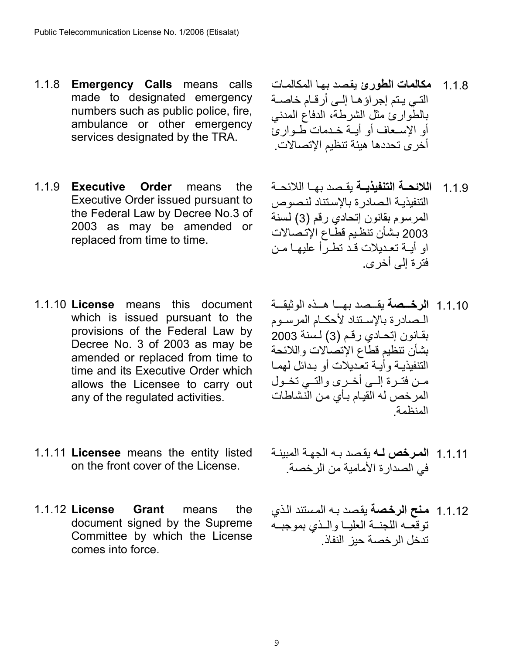- 1.1.8 **Emergency Calls** means calls made to designated emergency numbers such as public police, fire, ambulance or other emergency services designated by the TRA.
- 1.1.9 **Executive Order** means the Executive Order issued pursuant to the Federal Law by Decree No.3 of 2003 as may be amended or replaced from time to time.
- 1.1.10 **License** means this document which is issued pursuant to the provisions of the Federal Law by Decree No. 3 of 2003 as may be amended or replaced from time to time and its Executive Order which allows the Licensee to carry out any of the regulated activities.
- 1.1.11 **Licensee** means the entity listed on the front cover of the License.
- 1.1.12 **License Grant** means the document signed by the Supreme Committee by which the License comes into force.
- 1.1.8 **مكالمات الطورئ** يقѧصد بهѧا المكالمѧات التسي ينم إجراؤها إلىي أرقـام خاصـة بالطوارئ مثل الشرطة، الدفاع المدني أو الإسعاف أو أيــة خـدمات طــواريّ أخرى تحددها هيئة تنظيم الإتصالات .
- 1.1.9 **اللائحــة التنفيذيــة** بقـصد بهـا اللائحــة التنفيذية الصادرة بالإستناد لنصوص المرسوم بقانون إتحادي رقم (3) لسنة 2003 بشأن تنظيم قطاع الإتصالات او أيــة تعـديلات قـد تطـرأ عليهـا مـن فترة إلى أخرى.
- 1.1.10 **الرخيصة** بقيصد بها هيذه الوثيقية المصادرة بالإستناد لأحكام المرسوم بقانون إتحادي رقم (3) لسنة 2003 بشأن تنظيم قطاع الإتصالات واللائحة التنفيذيـة وأيـة تعّديلات أو بـدائل لهمـا مـن فتـرة إلــي أخـرى والتــي تخـول المرخص له القيام بـأي من النشاطات المنظمة.
- 1.1.11 ا**لمرخص لــه** يقصد بــه الجهـة المبينــة في الصدارة الأمامية من الرخصة .
- 1.1.12 **مѧنح الرخѧصة** يقѧصد بѧه المѧستند الѧذي توقعه اللجنــة العليـا والــذي بموجبــه تدخل الرخصة حيز النفاذ .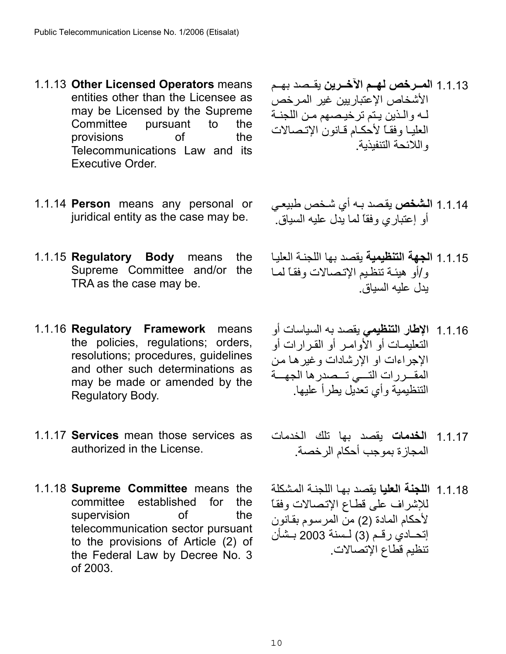- 1.1.13 **Other Licensed Operators** means entities other than the Licensee as may be Licensed by the Supreme Committee pursuant to the provisions of the Telecommunications Law and its Executive Order.
- 1.1.14 **Person** means any personal or juridical entity as the case may be.
- 1.1.15 **Regulatory Body** means the Supreme Committee and/or the TRA as the case may be.
- 1.1.16 **Regulatory Framework** means the policies, regulations; orders, resolutions; procedures, guidelines and other such determinations as may be made or amended by the Regulatory Body.
- 1.1.17 **Services** mean those services as authorized in the License.
- 1.1.18 **Supreme Committee** means the committee established for the supervision of the telecommunication sector pursuant to the provisions of Article (2) of the Federal Law by Decree No. 3 of 2003.
- 1.1.13 **المـــرخص لهــم الآخـــرين** بقــصد بهــم الأشخاص الإعتبار بين غير المر خص لـه والـذين يـتم ترخيصهم مـن اللجنـة العليا وفقاً لأحكام قانون الإتصالات واللائحة التنفيذية .
- 1.1.14 ا**لشخص** يقصد بـه أي شخص طبيعـي أو إعتباري وفقاً لما يدل عليه السياق .
- 1.1.15 ا**لجهة التنظيمية** يقصد بها اللجنـة العليـا و/أو هبئـة تنظـيم الإتـصـالات وفقـًا لمـا يدل عليه السياق .
- 1.1.16 **الإطار التنظيمي** يقصد به السياسات أو التعليمـات أو الأوامـر أو القـرارات أو الإجراءات او الإر شادات و غير هـا مـن المقــررات التـــى تــصدر ها الجهـــة التنظيمية وأي تعديل يطرأ عليها.
- 1.1.17 **الخدمات** يقصد بها تلك الخدمات المجازة بموجب أحكام الرخصة .
- 1.1.18 **اللجنة العليا** يقصد بها اللجنة المشكلة للإشراف على قطاع الإتصالات وفقاً لأحكام المادة (2) من المر سوم بقانون إتحــادي رقـم (3) لــسنة 2003 بـشأن تنظيم قطاع الإتصالات .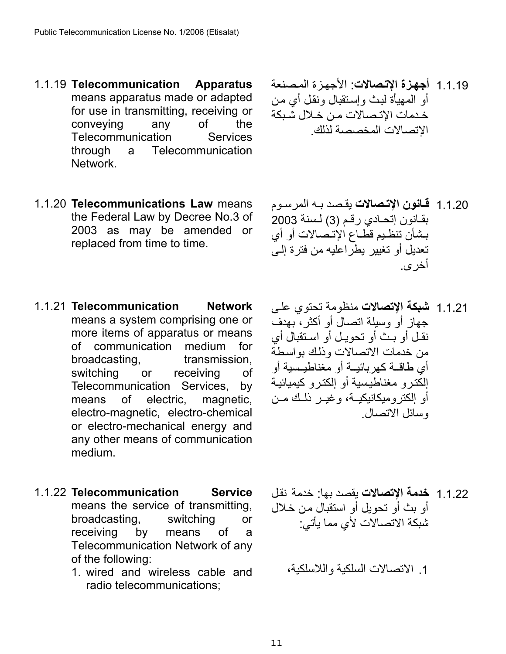- 1.1.19 **Telecommunication Apparatus** means apparatus made or adapted for use in transmitting, receiving or conveying any of the Telecommunication Services through a Telecommunication Network.
- 1.1.20 **Telecommunications Law** means the Federal Law by Decree No.3 of 2003 as may be amended or replaced from time to time.
- 1.1.21 **Telecommunication Network** means a system comprising one or more items of apparatus or means of communication medium for broadcasting, transmission, switching or receiving of Telecommunication Services, by means of electric, magnetic, electro-magnetic, electro-chemical or electro-mechanical energy and any other means of communication medium.
- 1.1.22 **Telecommunication Service** means the service of transmitting, broadcasting, switching or receiving by means of a Telecommunication Network of any of the following:
	- 1. wired and wireless cable and radio telecommunications;
- 1.1.19 أ**جهزة الإتصالات**: الأجهزة المصنعة أو المهيأة لبث وإستقبال ونقل أي من خدمات الاتـصالات مـن خـلال شبكة الإتصالات المخصصة لذلك .
- 1.1.20 **قانون الإتصالات** يقصد بـه المر سـوم بقانون إتحادي رقم (3) لسنة 2003 بشأن تنظيم قطـاع الإتـصالات أو أي تعديل أو تغيير يطراعليه من فترة إلى أخرى .
- 1.1.21 **شبكة الإتصالات** منظومة تحتوي علѧى جهاز أو وسيلة اتصال أو أآثر، بهدف نقل أو بن أو تحويل أو استقبال أي من خدمات الاتصالات وذلك بواسطة أي طاقــة كهربائيــة أو مغناطيـسية أو إلكتر و مغناطيسية أو إلكتر و كيميائية أو إلكتروميكانيكيـة، وغيــر ذلـك مــن وسائل الاتصال .

- 1.1.22 **خدمة الإتصالات** يقصد بها: خدمة نقѧل أو بث أو تحويل أو استقبال من خلال شبكة الاتصالات لأي مما يأتي :
	- 1. الاتصالات السلكية واللاسلكية،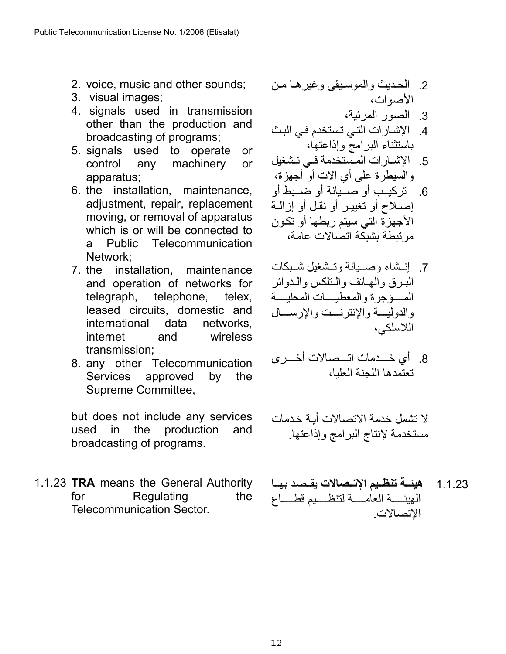- 2. voice, music and other sounds;
- 3. visual images;
- 4. signals used in transmission other than the production and broadcasting of programs;
- 5. signals used to operate or control any machinery or apparatus;
- 6. the installation, maintenance, adjustment, repair, replacement moving, or removal of apparatus which is or will be connected to a Public Telecommunication Network;
- 7. the installation, maintenance and operation of networks for telegraph, telephone, telex, leased circuits, domestic and international data networks, internet and wireless transmission;
- 8. any other Telecommunication Services approved by the Supreme Committee,

but does not include any services used in the production and broadcasting of programs.

1.1.23 **TRA** means the General Authority for Regulating the Telecommunication Sector.

 2. الحѧѧديث والموسѧѧيقى وغيرهѧѧا مѧѧن الأصوات،

- 3. الصور المرئية،
- 4. الإشارات التي تستخدم في البث باستثناء البرامج وإذاعتها،

 5. الإشѧѧارات المѧѧستخدمة فѧѧي تѧѧشغيل والسيطرة على أي آلات أو أجهزة،

- 6. تركيب أو صيبانة أو ضبيط أو إصلاح أو تغيير أو نقل أو إزالية الأجهزة التي سيتم ربطها أو تكѧون مرتبطة بشبكة اتصالات عامة،
- 7. إنسثناء وصيبانة وتستبغيل شيبكات البرق والهاتف والنلكس والدوائر المهوّجرة والمعطيسات المحليسة والدوليسة والإنترنست والإرسسال اللاسلكي،
- 8. أي خــدمات اتـــصـالات أخـــرى تعتمدها اللجنة العليا،

لا تشمل خدمة الاتصالات أيـة خدمات مستخدمة لإنتاج البرامج وإذاعتها.

1.1.23 ه**يئــة تنظـيم الإتــصالات** يقـصد بهـا الهيئسة العامسة لتنظسيم قطساع الإتصالات .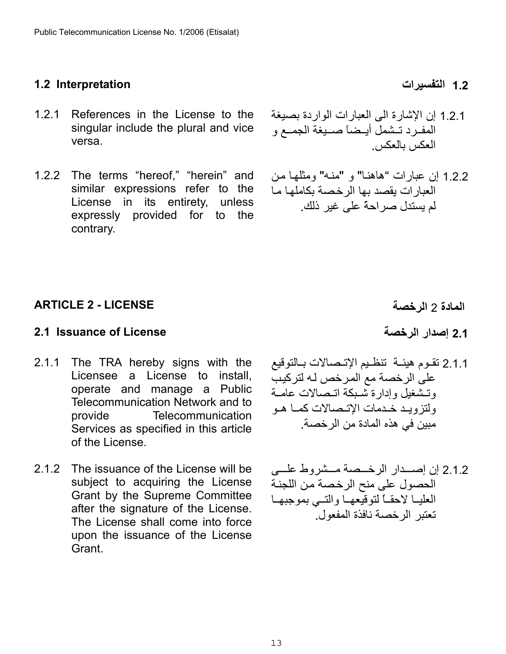## <span id="page-12-0"></span>**1.2 التفسيرات Interpretation 1.2**

- 1.2.1 References in the License to the singular include the plural and vice versa.
- 1.2.2 The terms "hereof," "herein" and similar expressions refer to the License in its entirety, unless expressly provided for to the contrary.
- 1.2.1 إن الإشارة الى العبارات الواردة بصيغة المفرد تـشمل أيـضاً صـيغة الجمـع و العكس بالعكس .
- 1.2.2 إن عبارات "هاهنا" و "منه" ومثلها من العبار ات يقصد بها الرخصة بكاملها ما لم يستدل صراحةً على غير ذلك.

## <span id="page-12-1"></span>**المادة** 2 **الرخصة LICENSE - 2 ARTICLE**

# <span id="page-12-2"></span>**2.1 Issuance of License الرخصة إصدار 2.1**

- 2.1.1 The TRA hereby signs with the Licensee a License to install, operate and manage a Public Telecommunication Network and to provide Telecommunication Services as specified in this article of the License.
- 2.1.2 The issuance of the License will be subject to acquiring the License Grant by the Supreme Committee after the signature of the License. The License shall come into force upon the issuance of the License Grant.

- 
- 2.1.1 تقـوم هيئــة تنظـيم الإتــصـالات بــالتوقيع على الرخصة مع المرخص لـه لتركيب وتشغيل وإدارة شبكة اتـصالات عامـة ولتزويد خدمات الإتـصالات كمـا هـو مبين في هذه المادة من الرخصة .
- 2.1.2 إن إصبدار الرخيصة مسشروط عليه الحصول على منح الرخصة من اللجنة العليا لاحقـاً لتوقيعهـا والتسي بموجبهـا تعتبر الرخصة نافذة المفعول.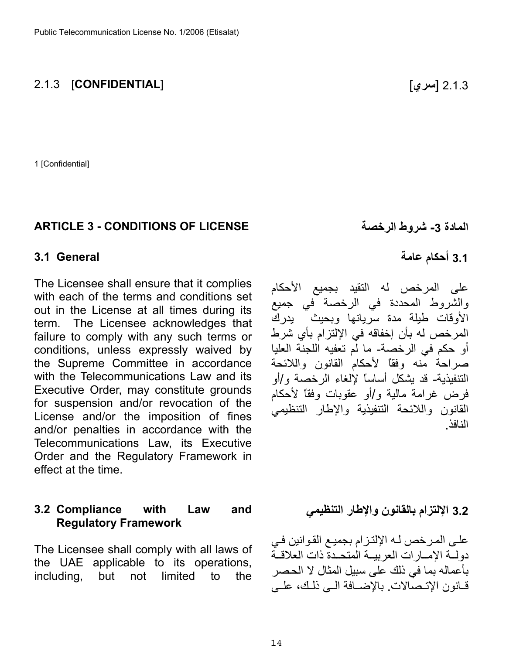#### 2.1.3 [ **سري**] [**CONFIDENTIAL** [2.1.3

1 [Confidential]

#### <span id="page-13-0"></span>**ARTICLE 3 - CONDITIONS OF LICENSE الرخصة شروط -3 المادة**

#### <span id="page-13-1"></span>**3.1 General**

The Licensee shall ensure that it complies with each of the terms and conditions set out in the License at all times during its term. The Licensee acknowledges that failure to comply with any such terms or conditions, unless expressly waived by the Supreme Committee in accordance with the Telecommunications Law and its Executive Order, may constitute grounds for suspension and/or revocation of the License and/or the imposition of fines and/or penalties in accordance with the Telecommunications Law, its Executive Order and the Regulatory Framework in effect at the time.

#### <span id="page-13-2"></span>**3.2 Compliance with Law and Regulatory Framework**

The Licensee shall comply with all laws of the UAE applicable to its operations, including, but not limited to the

**3.1 أحكام عامة** 

النافذ .

على المرخص له التقيد بجميع الأحكام والشروط المحددة في الرخصة في جميع الأوقات طيلة مدة سريانها وبحيث يدرك المرخص له بأن إخفاقه في الإلتزام بأي شرط أو حكم في الرخصة- ما لم تعفيه اللجنة العليا صراحة منه وفقاً لأحكام القانون واللائحة التنفيذية - قد يشكل أساساً لإلغاء الرخصة و/أو فرض غرامة مالية و/أو عقوبات وفقاً لأحكام القانون واللائحة التنفيذية والإطار التنظيمي

**3.2 الإلتزام بالقانون والإطار التنظيمي** 

على المرخص لـه الإلتزام بجميع القوانين في دولية الإمبارات العربيبة المتحدة ذات العلاقية بأعماله بما في ذلك على سبيل المثال لا الحѧصر قانون الاتـصّالات. بالإضـافة الـي ذلك، علـي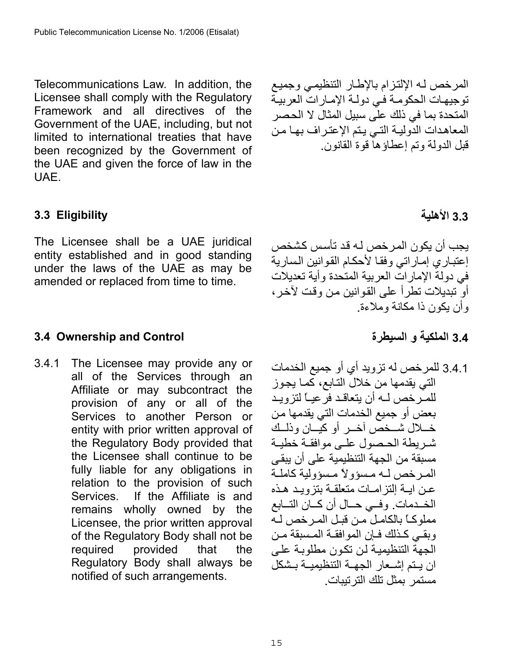Telecommunications Law. In addition, the Licensee shall comply with the Regulatory Framework and all directives of the Government of the UAE, including, but not limited to international treaties that have been recognized by the Government of the UAE and given the force of law in the UAE.

## <span id="page-14-0"></span>**3.3 Eligibility**

The Licensee shall be a UAE juridical entity established and in good standing under the laws of the UAE as may be amended or replaced from time to time.

## <span id="page-14-1"></span>**3.4 Ownership and Control**

3.4.1 The Licensee may provide any or all of the Services through an Affiliate or may subcontract the provision of any or all of the Services to another Person or entity with prior written approval of the Regulatory Body provided that the Licensee shall continue to be fully liable for any obligations in relation to the provision of such Services. If the Affiliate is and remains wholly owned by the Licensee, the prior written approval of the Regulatory Body shall not be required provided that the Regulatory Body shall always be notified of such arrangements.

المرخص لـه الإلتزام بالإطار التنظيمي وجميع توجيهات الحكومة في دولـة الإمـارات العربيـة المتحدة بما في ذلك على سبيل المثال لا الحصر المعاهدات الدولية التي يتم الإعتراف بها من قبل الدولة وتم إعطاؤها قوة القانون.

# **3.3 الأهلية**

يجب أن يكون المرخص لـه قد تأسس كشخص إعتباري إماراتي وفقا لأحكام القوانين السارية في دولة الإمارات العربية المتحدة وأية تعديلات أو تبديلات تطر أ على القو انين من و قت لآخر ، وأن يكون ذا مكانة وملاءة.

**3.4 الملكية و السيطرة**

3.4.1 للمرخص له تزويد أي أو جميع الخدمات التي يقدمها من خلال التـابع، كمـا يجوز للمـَّرخص لــه أن يتعاقـد فرتعيـاً لتزويـد بعض أو جميع الخدمات التي يقدمها من خملال شمخص أخس أو كيسان وذلمك شريطة الحصول على موافقة خطية مسبقة من الجهة التنظيمية على أن يبقى المصر خص له مسؤولاً مسؤولية كاملة عـن ايــة إلتز امــات متعلقــة بتزويـد هـذه الخـدمات. وفسي حـال أن كــان التــابع مملوكــًا بالكامـل مـن قبـل المـر خص لــه وبقي كذلك فإن الموافقة المسبقة من الجهة التنظيمية لن تكون مطلوبـة علـى ان يتم إشعار الجهـة التنظيميـة بـشكل مستمر بمثل تلك الترتيبات .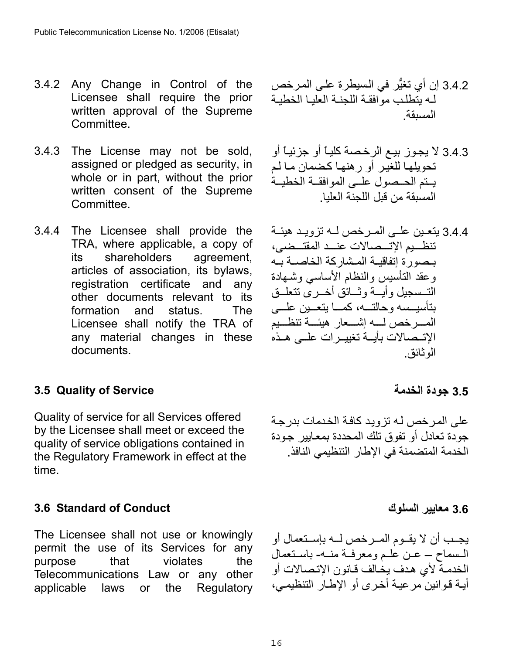- 3.4.2 Any Change in Control of the Licensee shall require the prior written approval of the Supreme Committee.
- 3.4.3 The License may not be sold, assigned or pledged as security, in whole or in part, without the prior written consent of the Supreme Committee.
- 3.4.4 The Licensee shall provide the TRA, where applicable, a copy of its shareholders agreement, articles of association, its bylaws, registration certificate and any other documents relevant to its formation and status. The Licensee shall notify the TRA of any material changes in these documents.

# <span id="page-15-0"></span>**3.5 Quality of Service**

Quality of service for all Services offered by the Licensee shall meet or exceed the quality of service obligations contained in the Regulatory Framework in effect at the time.

## <span id="page-15-1"></span>**3.6 Standard of Conduct**

The Licensee shall not use or knowingly permit the use of its Services for any purpose that violates the Telecommunications Law or any other applicable laws or the Regulatory

- 3.4.2 إن أي تغيُّر في الѧسيطرة علѧى المѧرخص له يتطلب موافقة اللجنية العليا الخطيبة المسبقة.
- 3.4.3 لا يجوز بيع الرخصة كلياً أو جزئياً أو تحويلها للغير أو رهنها كضمان ما لم يبتم الحيصول عليي الموافقة الخطيبة المسبقة من قبل اللجنة العليا.
- 3.4.4 يتعـين علـي المـرخص لــه تزويـد هيئـة تنظـيم الإتــصالات عنــد المقتــضى، بـصورة إتفاقيـة المـشاركة الخاصـة بـه وعقد التأسيس والنظام الأساسي وشمهادة التسمجيل وأيسة وثسائق أخسري تتعلسق بتأسيسه وحالتـه، كمـا يتعـين علــي المسرخص لسه إشسعار هيئسة تنظسيم الاتـصالات بأيــة تغييـرات علــى هـذه الوثائق.

## **3.5 جودة الخدمة**

على المرخص لـه تزويد كافـة الخدمات بدرجـة جودة تعادل أو تفوق تلك المحددة بمعايير جودة الخدمة المتضمنة في الإطار التنظيمي النافذ.

**3.6 معايير السلوك** 

يجـب أن لا يقــوم المــرخص لــه بإســتعمال أو المسماح – عـن علـم ومعرفه منه- باستعمال الخدمـة لأي هدف يخـالف قـانون الإتـصـالات أو أيـة قـوانين مر عيـة أخـرى أو الإطـار التنظيمـي،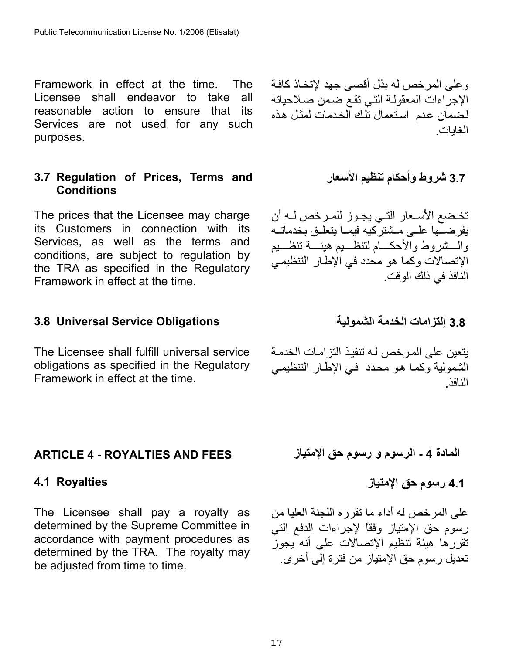Framework in effect at the time. The Licensee shall endeavor to take all reasonable action to ensure that its Services are not used for any such purposes.

## <span id="page-16-0"></span>**3.7 Regulation of Prices, Terms and Conditions**

The prices that the Licensee may charge its Customers in connection with its Services, as well as the terms and conditions, are subject to regulation by the TRA as specified in the Regulatory Framework in effect at the time.

## <span id="page-16-1"></span>**3.8 إلتزامات الخدمة الشمولية Obligations Service Universal 3.8**

The Licensee shall fulfill universal service obligations as specified in the Regulatory Framework in effect at the time.

# <span id="page-16-2"></span>**ARTICLE 4 - ROYALTIES AND FEES**

The Licensee shall pay a royalty as determined by the Supreme Committee in accordance with payment procedures as determined by the TRA. The royalty may be adjusted from time to time.

وعلى المرخص له بذل أقصى جهد لإتخـاذ كافـة الإجراءات المعقولـة التي تقع ضمن صـلاحياته لضمان عدم استعمال تلك الخدمات لمثل هذه الغايات .

**3.7 شروط وأحكام تنظيم الأسعار** 

تخضع الأسعار التي يجوز للمرخص لـه أن يفرضــها علــى مـشتركيه فيمــا يتعلــق بخدماتــه والـــشروط والأحكـــام لتنظـــيم هيئــــة تنظـــيم الإتصالات وكما هو محدد في الإطار التنظيمي النافذ في ذلك الوقت.

يتعين على المر خص لـه تنفيذ التز امـات الخدمـة الشمولية وكما هو محدد ًفي الإطار التنظيمي النافذ.

**المادة - 4 الرسوم و رسوم حق الإمتياز**

<span id="page-16-3"></span>**4.1 رسوم حق الإمتياز Royalties 4.1**

على المرخص له أداء ما تقرره اللجنة العليا من رسوم حق الإمتياز وفقاً لإجراءات الدفع التي تقررها هيئة تنظيم الإتصالات على أنه يجوز تعديل رسوم حق الإمتياز من فترة إلى أخرى.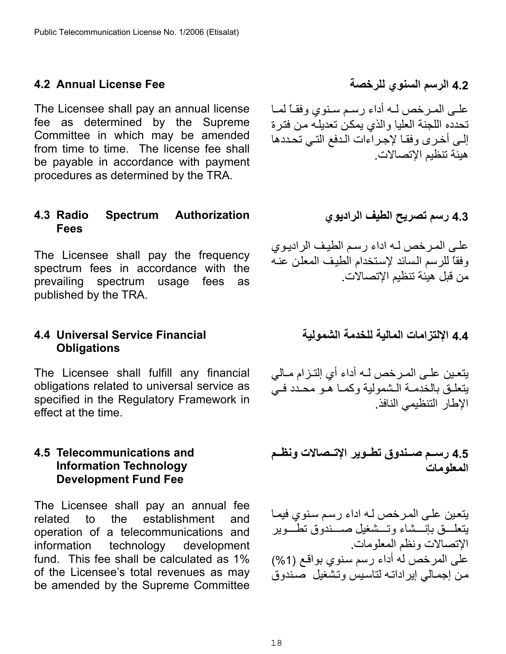### <span id="page-17-0"></span>**4.2 الرسم السنوي للرخصة Fee License Annual 4.2**

The Licensee shall pay an annual license fee as determined by the Supreme Committee in which may be amended from time to time. The license fee shall be payable in accordance with payment procedures as determined by the TRA.

#### <span id="page-17-1"></span>**4.3 Radio Spectrum Authorization Fees**

The Licensee shall pay the frequency spectrum fees in accordance with the prevailing spectrum usage fees as published by the TRA.

#### <span id="page-17-2"></span>**4.4 Universal Service Financial Obligations**

The Licensee shall fulfill any financial obligations related to universal service as specified in the Regulatory Framework in effect at the time.

#### <span id="page-17-3"></span>**4.5 Telecommunications and Information Technology Development Fund Fee**

The Licensee shall pay an annual fee related to the establishment and operation of a telecommunications and information technology development fund. This fee shall be calculated as 1% of the Licensee's total revenues as may be amended by the Supreme Committee

علمي المرخص لـه أداء رسم سنوي وفقـًا لمـا تحدده اللجنة العليا والذي يمكن تعديله من فترة إلى أخرى وفقا لإجراءات الدفع التي تحددها هيئة تنظيم الإتصالات.

**4.3 رسم تصريح الطيف الراديوي** 

على المرخص لـه اداء رسم الطيف الراديوي وفقاً للرسم السائد لإستخدام الطيف المعلن عنه من قبل هيئة تنظيم الإتصالات .

**4.4 الإلتزامات المالية للخدمة الشمولية**

يتعين علـي المـرخص لـه أداء أي إلتـزام مـالي يتعلق بالخدمـة الـشمولية وكمـا هـو محـدد فـي الإطار التنظيمي النافذ.

**4.5 رسѧѧѧم صѧѧѧندوق تطѧѧѧوير الإتѧѧѧصالات ونظѧѧѧم المعلومات** 

يتعين على المرخص لـه اداء رسم سنوي فيمـا يتعلمق بإنسشاء وتسشغيل صسندوق تطموير الإتصالات ونظم المعلومات. على المرخص له أداء رسم سنوي بواقع (1%) من إجمـالي إيراداتـه لتاسبس وتشغيل صندوق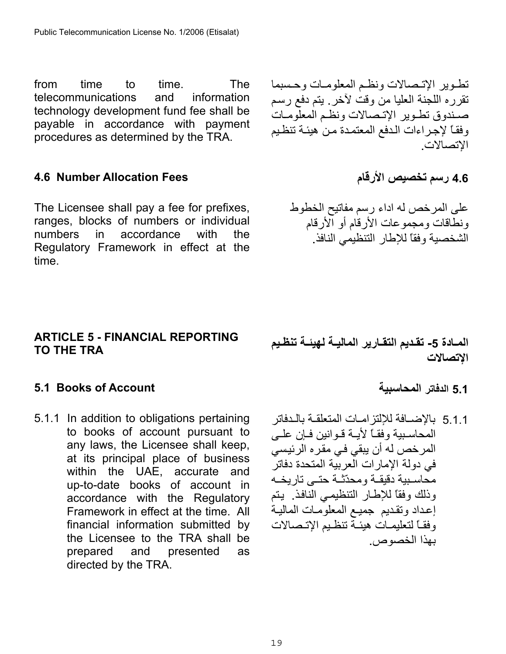from time to time. The telecommunications and information technology development fund fee shall be payable in accordance with payment procedures as determined by the TRA.

## <span id="page-18-0"></span>**4.6 رسم تخصيص الأرقام Fees Allocation Number 4.6**

The Licensee shall pay a fee for prefixes, ranges, blocks of numbers or individual numbers in accordance with the Regulatory Framework in effect at the time.

## <span id="page-18-1"></span>**ARTICLE 5 - FINANCIAL REPORTING TO THE TRA**

## <span id="page-18-2"></span>**5.1 Books of Account المحاسبية الدفاتر 5.1**

5.1.1 In addition to obligations pertaining to books of account pursuant to any laws, the Licensee shall keep, at its principal place of business within the UAE, accurate and up-to-date books of account in accordance with the Regulatory Framework in effect at the time. All financial information submitted by the Licensee to the TRA shall be prepared and presented as directed by the TRA.

تطوير الإتصالات ونظم المعلومات وحسبما تقرره اللجنة العليا من وقت لأخر . يتم دفع رسم صندوق تطـوير الإتـصالات ونظـم المعلومـات وفقاً لإجراءات الدفع المعتمدة من هيئة تنظيم الإتصالات .

على المرخص له اداء رسم مفاتيح الخطوط ونطاقات ومجموعات الأرقام أو الأرقام الشخصية وفقاً للإطار التنظيمي النافذ .

المــادة 5- تقـديم التقــارير المـاليــة لـهيئــة تنظـيم **الإتصالات** 

5.1.1 بالإضــافة للإلتزامــات المتعلقـة بالـدفاتر المحاسبية وفقـاً لأيـة قـوانين فـإن علـي المرخص له أن يبقي في مقره الرئيسي في دولة الإمارات العربية المتحدة دفاتر محاسبية دقيقـة ومحدّثـة حتـى تاريخـه وذلك وفقاً للإطار التنظيمي النافذ. يتم إعداد وتقديم جميع المعلومات المالية وفقـاً لتعليمـات هيئـة تنظـيم الإتـصالات بهذا الخصوص.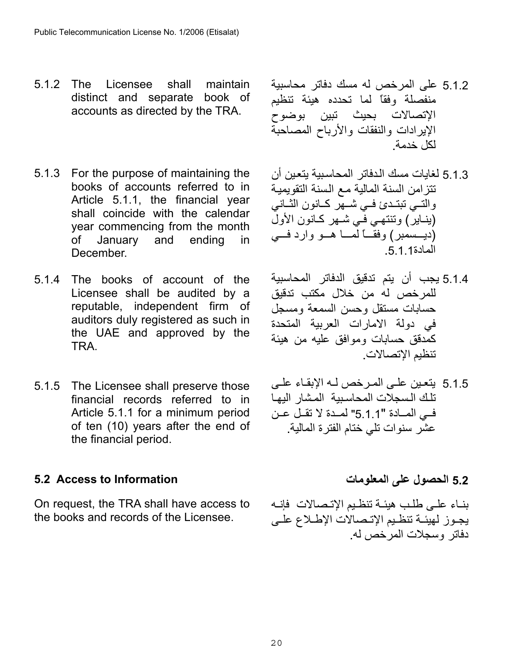- 5.1.2 The Licensee shall maintain distinct and separate book of accounts as directed by the TRA.
- 5.1.3 For the purpose of maintaining the books of accounts referred to in Article 5.1.1, the financial year shall coincide with the calendar year commencing from the month of January and ending in December.
- 5.1.4 The books of account of the Licensee shall be audited by a reputable, independent firm of auditors duly registered as such in the UAE and approved by the TRA.
- 5.1.5 The Licensee shall preserve those financial records referred to in Article 5.1.1 for a minimum period of ten (10) years after the end of the financial period.

# <span id="page-19-0"></span>**5.2 الحصول على المعلومات Information to Access 5.2**

On request, the TRA shall have access to the books and records of the Licensee.

- 5.1.2 على المرخص له مسك دفاتر محاسبية منفصلة وفقاً لما تحدده هيئة تنظيم الإتصالات بحيث تبين بوضوح الإيرادات والنفقات والأرباح المصاحبة لكل خدمة .
- 5.1.3 لغايات مسك الدفاتر المحاسبية يتعين أن تتزامن السنة المالية مع السنة التقويمية والتسي تبتـدئ فسي كـانون الثــانبي (ينـاير) وتنتهـي فـّي شـهر كـانون الأولّ (ديسمبر) وفقــاً لمــا هــو وارد فــى المادة.5.1.1
- 5.1.4 يجب أن يتم تدقيق الدفاتر المحاسبية للمرخص له من خلال مكتب تدقيق حسابات مستقل وحسن السمعة ومسجل في دولة الامارات العربية المتحدة آمدقق حسابات وموافق عليه من هيئة تنظيم الإتصالات .
- 5.1.5 يتعين على المرخص لـه الإبقـاء علـى تلك السجلات المحاسبية المشار اليها في المادة "5.1.1" لمدة لا تقل عن عشر سنوات تلي ختام الفترة المالية .

بنـاء علـى طلب هيئـة تنظـيم الإتـصالات فإنــه يجوز لهيئة تنظيم الإتصالات الإطلاع على دفاتر وسجلات المرخص له.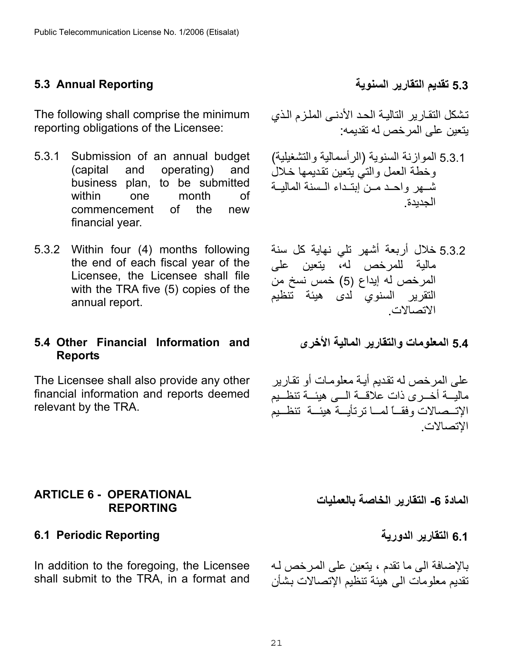# <span id="page-20-0"></span>**5.3 تقديم التقارير السنوية Reporting Annual 5.3**

The following shall comprise the minimum reporting obligations of the Licensee:

- 5.3.1 Submission of an annual budget (capital and operating) and business plan, to be submitted within one month of commencement of the new financial year.
- 5.3.2 Within four (4) months following the end of each fiscal year of the Licensee, the Licensee shall file with the TRA five (5) copies of the annual report.

## <span id="page-20-1"></span>**5.4 Other Financial Information and Reports**

The Licensee shall also provide any other financial information and reports deemed relevant by the TRA.

## <span id="page-20-2"></span>**ARTICLE 6 - OPERATIONAL REPORTING**

## <span id="page-20-3"></span>**6.1 التقارير الدورية Reporting Periodic 6.1**

In addition to the foregoing, the Licensee shall submit to the TRA, in a format and

تشكل التقارير التالية الحد الأدنى الملزم الذي يتعين على المرخص له تقديمه:

- 5.3.1 الموازنة السنوية (الرأسمالية والتشغيلية) وخطة العمل والتي يتعين تقديمها خلال شهر واحد مـن ابتـداء الـسنة الماليــة الجديدة .
- 5.3.2 خلال أربعة أشهر تلي نهاية كل سنة مالية للمرخص له، يتعين على المرخص له إيداع 5( ) خمس نسخ من التقرير السنوي لدى هيئة تنظيم الاتصالات .
	- **5.4 المعلومات والتقارير المالية الأخرى**

على المر خص له تقديم أيـة معلومات أو تقـار ير ماليـــة أخــرى ذات علاقـــة الـــى هيئـــة تنظــيم الإتــصالات وفقــاً لممــا ترتأيــة هيئــة تنظــيم الإتصالات .

**المادة -6 التقارير الخاصة بالعمليات** 

بالإضافة الى ما تقدم ، يتعين على المرخص لـه تقديم معلومات الى هيئة تنظيم الإتصالات بشأن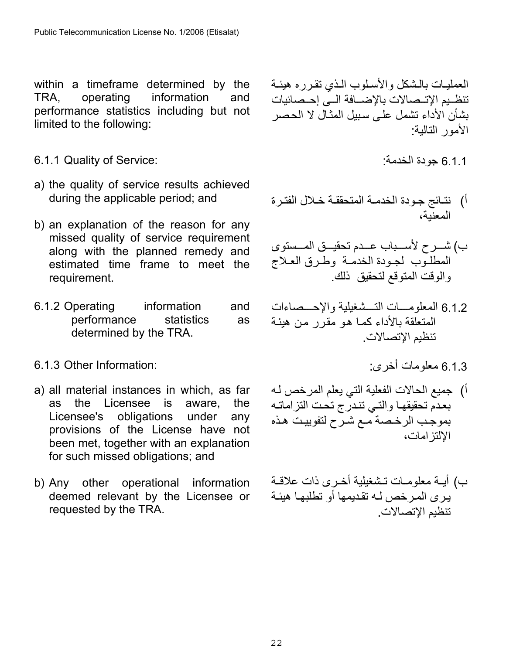within a timeframe determined by the TRA, operating information and performance statistics including but not limited to the following:

- 6.1.1 Quality of Service: : الخدمة جودة 6.1.1
- a) the quality of service results achieved during the applicable period; and
- b) an explanation of the reason for any missed quality of service requirement along with the planned remedy and estimated time frame to meet the requirement.
- 6.1.2 Operating information and performance statistics as determined by the TRA.

## $6.1.3$  Other Information: فعلومات أخرى :  $1.3$

- a) all material instances in which, as far as the Licensee is aware, the Licensee's obligations under any provisions of the License have not been met, together with an explanation for such missed obligations; and
- b) Any other operational information deemed relevant by the Licensee or requested by the TRA.

العمليـات بالـشكل والأسـلوب الـذي تقرره هيئـة تنظيم الإتـصالات بالإضــافة الــي إحـصائيات بشأن الأداء تشمل على سبيل المثال لا الحصر الأمور التالية:

- 
- أ) نتائج جودة الخدمة المتحققة خلال الفترة المعنية،
- ب) شــرح لأســباب عــدم تحقيــق المــستوى المطلوب لجودة الخدمـة وطـرق العـلاج والوقت المتوقع لتحقيق ذلك .
- 6.1.2 المعلومسات التسشغيلية والإحسصاءات المتعلقة بالأداء كما هو مقرر من هيئة تنظيم الإتصالات.
	-
- أ) جميع الحالات الفعلية التي يعلم المرخص لـه بعدم تحقيقها والتبي تندرج تحت التزاماته بموجب الرخصة مـع شـرح لتفوييت هـذه الإلتزامات،
- ب) أيـة معلومـات تـشغيلية أخـرى ذات علاقـة يرى المرخص لـه تقديمها أو تطلبهـا هيئـة تنظيم الإتصالات .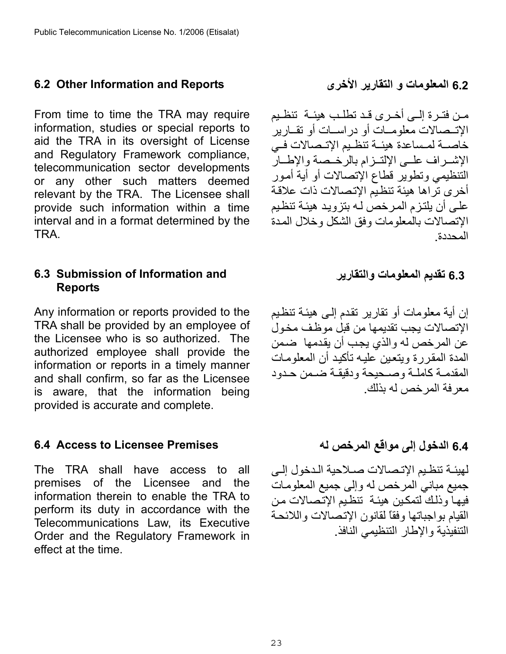### <span id="page-22-0"></span>**6.2 المعلومات و التقارير الأخرى Reports and Information Other 6.2**

From time to time the TRA may require information, studies or special reports to aid the TRA in its oversight of License and Regulatory Framework compliance, telecommunication sector developments or any other such matters deemed relevant by the TRA. The Licensee shall provide such information within a time interval and in a format determined by the TRA.

#### <span id="page-22-1"></span>**6.3 Submission of Information and Reports**

Any information or reports provided to the TRA shall be provided by an employee of the Licensee who is so authorized. The authorized employee shall provide the information or reports in a timely manner and shall confirm, so far as the Licensee is aware, that the information being provided is accurate and complete.

#### <span id="page-22-2"></span>**6.4 الدخول إلى مواقع المرخص له Premises Licensee to Access 6.4**

The TRA shall have access to all premises of the Licensee and the information therein to enable the TRA to perform its duty in accordance with the Telecommunications Law, its Executive Order and the Regulatory Framework in effect at the time.

مـن فتـرة إلــي أخـرى قـد تطلـب هيئــة تنظـيم الإتــصالات معلومــات أو در اســات أو تقــار ير خاصــة لمـساعدة هيئــة تنظـيم الإتــصالات فــي الإشىراف علمي الإلتىزام بالرخصة والإطار التنظيمي وتطوير قطاع الإتصالات أو أية أمѧور أخرى تراها هيئة تنظيم الإتصالات ذات علاقة علمي أن يلتز م المر خص لـه بتزويد هيئـة تنظيم الإتصالات بالمعلومات وفق الشكل وخلال المدة المحددة.

**6.3 تقديم المعلومات والتقارير** 

إن أية معلومات أو تقارير تقدم إلـى هيئـة تنظيم الإتصالات يجب تقديمها من قبل موظف مخول عن المرخص له والذي يجب أن يقدمها ضمن المدة المقررة ويتعين عليه تأكيد أن المعلومات المقدمـة كاملـة وصـحيحة ودقيقـة ضـمن حـدود معرفة المرخص له بذلك.

لهيئـة تنظـيم الإتـصالات صـلاحية الـدخول إلـي جميع مباني المرخص له وإلى جميع المعلومات فيها وذلك لتمكين هيئة تنظيم الإتصالات من القيام بواجباتها وفقاً لقانون الإتصالات واللائحة التنفيذية والإطار التنظيمي النافذ .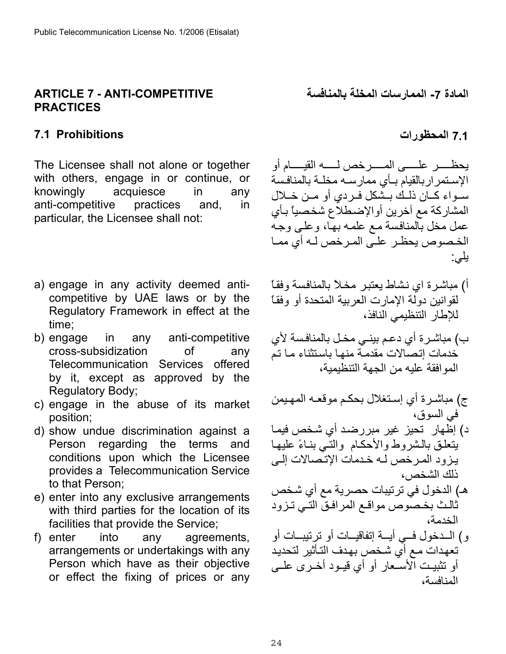#### <span id="page-23-0"></span>**ARTICLE 7 - ANTI-COMPETITIVE PRACTICES**

#### <span id="page-23-1"></span>**7.1 المحظورات Prohibitions 7.1**

The Licensee shall not alone or together with others, engage in or continue, or knowingly acquiesce in any anti-competitive practices and, in particular, the Licensee shall not:

- a) engage in any activity deemed anticompetitive by UAE laws or by the Regulatory Framework in effect at the time;
- b) engage in any anti-competitive cross-subsidization of any Telecommunication Services offered by it, except as approved by the Regulatory Body;
- c) engage in the abuse of its market position;
- d) show undue discrimination against a Person regarding the terms and conditions upon which the Licensee provides a Telecommunication Service to that Person;
- e) enter into any exclusive arrangements with third parties for the location of its facilities that provide the Service;
- f) enter into any agreements, arrangements or undertakings with any Person which have as their objective or effect the fixing of prices or any

**المادة -7 الممارسات المخلة بالمنافسة** 

يحظــــــــر علــــــــى المـــــــرخص لـــــــه القيـــــام أو الإستمراربالقيام بأي ممارسه مخلة بالمنافسة سـواء كــان ذلـك بـشكل فـردي أو مـن خــلال المشاركة مع أخرين أوالإضطلاع شخصياً بـأي عمل مخل بالمنافسة مع علمه بها، وعلى وجه الخـصوص يحظـر علـّى المـرخص لـه أي ممـا يلي:

- أ) مباشرة اي نشاط يعتبر مخلاً بالمنافسة وفقاً لقوانين دولة الإمارت العربية المتحدة أو وفقاً للإطار التنظيمي النافذ،
- ب) مباشرة أي دعم بينـي مخـل بالمنافسة لأي خدمات إتصالات مقدمة منها باستثناء ما تم الموافقة عليه من الجهة التنظيمية،
- ج) مباشرة أي إستغلال بحكم موقعه المهيمن في السوق، د) إظّهار تحيز غير مبررضد أي شخص فيمـا
- يتعلق بالشروط والأحكام والتمي بنـاءً عليهـا يزود المرخص لـه خدمات الإتصالات إلـى ذلك الشخص،
- هـ) الدخول في ترتيبات حصرية مع أي شخص ثالث بخصوص مواقع المرافق التي تـزود الخدمة،
- و) الـدخول فــي أيــة إتفاقيــات أو ترتيبــات أو تعهدات مـع أي شـخص بهدف التـأثير لتحديد أو تثبيت الأسعار أو أي قيـود أخـرى علــى المنافسة،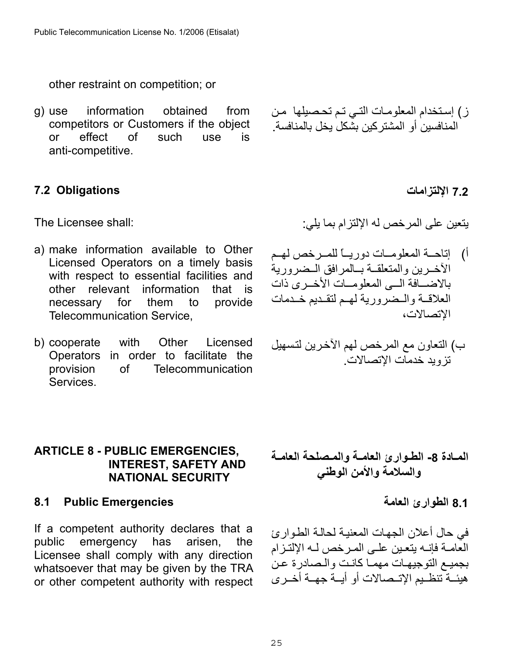other restraint on competition; or

g) use information obtained from competitors or Customers if the object or effect of such use is anti-competitive.

### <span id="page-24-0"></span>**7.2 الإلتزامات Obligations 7.2**

The Licensee shall:

- a) make information available to Other Licensed Operators on a timely basis with respect to essential facilities and other relevant information that is necessary for them to provide Telecommunication Service,
- b) cooperate with Other Licensed Operators in order to facilitate the provision of Telecommunication Services.

# ز) إستخدام المعلومات التي تم تحصيلها من المنافسين أو المشتر كين بشكل يخل بالمنافسة

يتعين على المرخص له الإلتزام بما يلي:

- أ) إتاحـة المعلومـات دوريــاً للمـرخص لهـم الأخـرين والمتعلقـة بـالمرافق الـضرورية بالاضسافة السي المعلومسات الأخير ي ذات العلاقية والمضرورية لهم لتقديم خيدمات الإتصالات،
- ب) التعاون مع المرخص لهم الآخرين لتسهيل تزويد خدمات الإتصالات .

#### <span id="page-24-1"></span>**ARTICLE 8 - PUBLIC EMERGENCIES, INTEREST, SAFETY AND NATIONAL SECURITY**

#### <span id="page-24-2"></span>**8.1 Public Emergencies**

If a competent authority declares that a public emergency has arisen, the Licensee shall comply with any direction whatsoever that may be given by the TRA or other competent authority with respect

- المــادة 8- الطـوارئ العامــة والمـصلحة العامــة **والسلامة والأمن الوطني** 
	- **8.1 الطوارئ العامة**

في حال أعلان الجهات المعنية لحالة الطوارئ العامـة فإنـه يتعين علـى المـرخص لـه الإلتـزام بجميـع التوجيهـات مهمـا كانـت و الـصـادر ة عـن هيئــة تنظـيم الإتــصـالات أو أيــة جهــة أخــر ي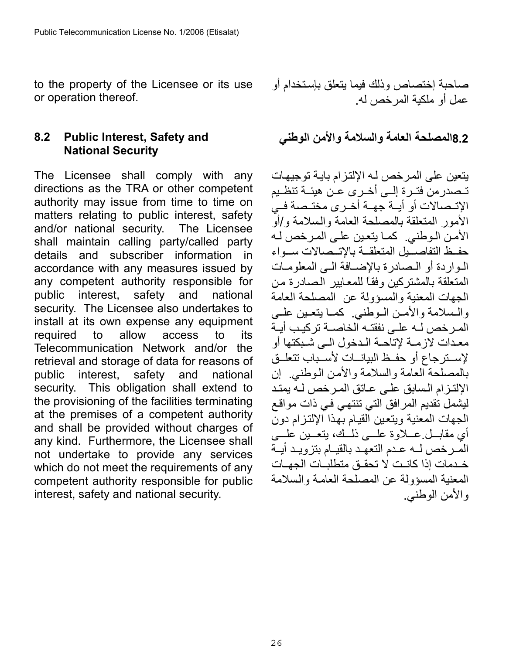to the property of the Licensee or its use or operation thereof.

## <span id="page-25-0"></span>**8.2 Public Interest, Safety and National Security**

The Licensee shall comply with any directions as the TRA or other competent authority may issue from time to time on matters relating to public interest, safety and/or national security. The Licensee shall maintain calling party/called party details and subscriber information in accordance with any measures issued by any competent authority responsible for public interest, safety and national security. The Licensee also undertakes to install at its own expense any equipment required to allow access to its Telecommunication Network and/or the retrieval and storage of data for reasons of public interest, safety and national security. This obligation shall extend to the provisioning of the facilities terminating at the premises of a competent authority and shall be provided without charges of any kind. Furthermore, the Licensee shall not undertake to provide any services which do not meet the requirements of any competent authority responsible for public interest, safety and national security.

صاحبة إختصاص وذلك فيما يتعلق بإسѧتخدام أو عمل أو ملكية المرخص له.

**8.2المصلحة العامة والسلامة والأمن الوطني**

يتعين على المرخص لـه الإلتزام بايـة توجيهـات تـصدر من فتـر ة إلــي أخـر ي عـن هبئــة تنظـبم الإتـصالات أو أيــة جهــة أخـرى مختـصة فـي الأمور المتعلقة بالمصلحة العامة والѧسلامة و/أو الأمن الوطني. كما يتعين على المرخص لـه حفظ التفاصسيل المتعلقة بالإتسصالات سمواء المواردة أو المصادرة بالإضبافة المي المعلوميات المتعلقة بالمشتركين وفقاً للمعايير الصادرة من الجهات المعنية والمسؤولة عن المصلحة العامة والسلامة والأمـن الـوطني. كمـا يتعـين علـي المر خص لـه علـى نفقتـه الخاصـة تر كبـب أبـة معدات لازمـة لإتاحـة الـدخول الـي شـبكتها أو لإسـترجاع أو حفـظ البيانـات لأسـباب تتعلــق بالمصلحة العامة والسلامة والأمن الوطني. إن الإلتز ام الـسابق على عـاتق المر خص لـه بمتد ليَشْمل تُقديم المرافق التي تنتهي في ذات مواقع الجهات المعنية ويتعين القيام بهذا الإلتزام دون أي مقابــل عـــلاوة علـــي ذلْــك، يتعـُــين علـــي المرخص لـه عـدم التعهـد بالقيـام بتزويـد أيــة خدمات إذا كانيت لا تحقيق متطلبات الجهيات المعنية المسؤولة عن المصلحة العامѧة والѧسلامة والأمن الوطني.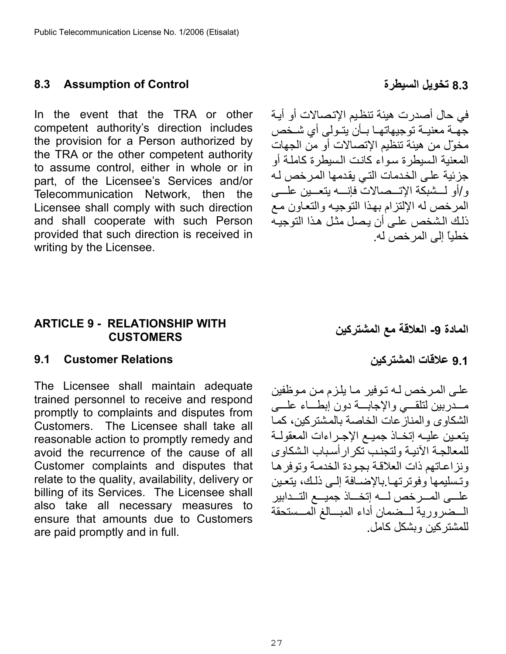#### <span id="page-26-0"></span>**8.3 Assumption of Control السيطرة تخويل 8.3**

In the event that the TRA or other competent authority's direction includes the provision for a Person authorized by the TRA or the other competent authority to assume control, either in whole or in part, of the Licensee's Services and/or Telecommunication Network, then the Licensee shall comply with such direction and shall cooperate with such Person provided that such direction is received in writing by the Licensee.

#### <span id="page-26-1"></span>**ARTICLE 9 - RELATIONSHIP WITH CUSTOMERS**

#### <span id="page-26-2"></span>**9.1 Customer Relations**

The Licensee shall maintain adequate trained personnel to receive and respond promptly to complaints and disputes from Customers. The Licensee shall take all reasonable action to promptly remedy and avoid the recurrence of the cause of all Customer complaints and disputes that relate to the quality, availability, delivery or billing of its Services. The Licensee shall also take all necessary measures to ensure that amounts due to Customers are paid promptly and in full.

في حال أصدرت هيئة تنظيم الإتصالات أو أيـة جهه معنيـة توجيهاتهـا بـأن يتـولى أي شـخص مخوّل من هيئة تنظيم الإتصالات أو من الجهات المعنية السيطرة سواء كانت السيطرة كاملة أو جزئية على الخدمات التي يقدمها المرخص له و/أو لـــشبكة الإتـــصالات فإنــــه يتعـــين علــــى المرخص له الإلتزام بهذا التوجيه والتعاون مع ذلك الشخص على أن يصل مثل هذا التوجيه خطياً إلى المرخص له.

**المادة -9 العلاقة مع المشترآين** 

**9.1 علاقات المشترآين**

علے المر خص لـه توفير ما يلزم من موظفين مسدربين لتلقسي والإجابسة دون إبطساء علسي الشكاوى والمنازعات الخاصة بالمشتركين، كما يتعين عليـه إتخـاذ جميـع الإجـراءات المعقولــة للمعالجة الآنيـة ولتجنب تكرار أسباب الشكاوى ونزاعاتهم ذات العلاقة بجودة الخدمة وتوفرها وتسليمها وفوترتها بالإضافة إلى ذلك، يتعين علـــى المـــرخص لــــه إتخـــاذ جميـــع التـــدابير السضرورية لسضمان أداء المبسالغ المسستحقة للمشتر كبن وبشكل كامل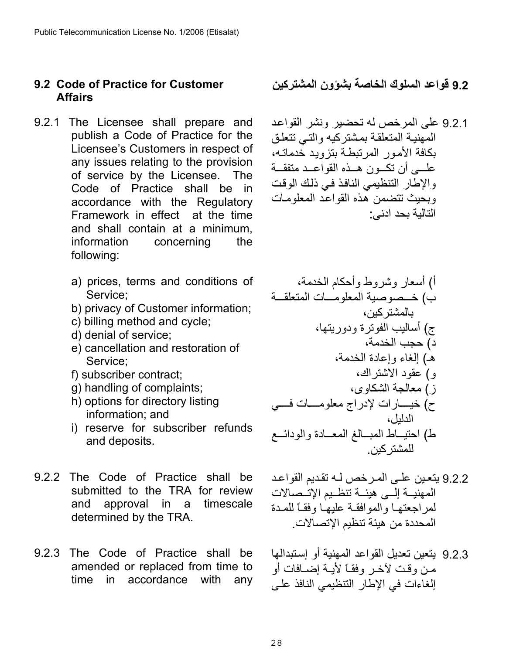#### <span id="page-27-0"></span>**9.2 Code of Practice for Customer Affairs**

- 9.2.1 The Licensee shall prepare and publish a Code of Practice for the Licensee's Customers in respect of any issues relating to the provision of service by the Licensee. The Code of Practice shall be in accordance with the Regulatory Framework in effect at the time and shall contain at a minimum, information concerning the following:
	- a) prices, terms and conditions of Service;
	- b) privacy of Customer information;
	- c) billing method and cycle;
	- d) denial of service;
	- e) cancellation and restoration of Service;
	- f) subscriber contract;
	- g) handling of complaints;
	- h) options for directory listing information; and
	- i) reserve for subscriber refunds and deposits.
- 9.2.2 The Code of Practice shall be submitted to the TRA for review and approval in a timescale determined by the TRA.
- 9.2.3 The Code of Practice shall be amended or replaced from time to time in accordance with any

**9.2 قواعد السلوك الخاصة بشؤون المشترآين**

9.2.1 على المر خص له تحضير ونشر القواعد المهنية المتعلقة بمشتركيه والتبي تتعلق بكافة الأمور المرتبطة بتزويد خدماتـه، علسي أن تكـون هـذه القواعـد متفقــة والإطار التنظيمي النافذ في ذلك الوقت وبحيث تتضمن هذه القواعد المعلومات التالية بحد ادنى :

أ) أسعار وشروط وأحكام الخدمة، ب) خѧѧѧѧѧصوصية المعلومѧѧѧѧѧات المتعلقѧѧѧѧѧة بالمشترآين، ج) أساليب الفوترة ودوريتها، د) حجب الخدمة، ـه ) إلغاء وإعادة الخدمة، و) عقود الاشتراك، ز) معالجة الشكاوى، ح) خيѧѧѧѧѧѧارات لإدراج معلومѧѧѧѧѧѧات فѧѧѧѧѧѧي الدليل، ط) احتيѧѧѧѧاط المبѧѧѧѧالغ المعѧѧѧѧادة والودائѧѧѧѧع للمشترآين .

- 9.2.2 يتعين على المرخص لـه تقديم القواعد المهنيــة إلــي هيئــة تنظـيم الإتــصالات لمر اجعتها والموافقة عليها وفقاً للمدة المحددة من هيئة تنظيم الإتصالات.
- 9.2.3 يتعين تعديل القواعد المهنية أو إسѧتبدالها من وقت لأخر وفقاً لأيـة إضـافات أو إلغاءات في الإطار التنظيمي النافذ على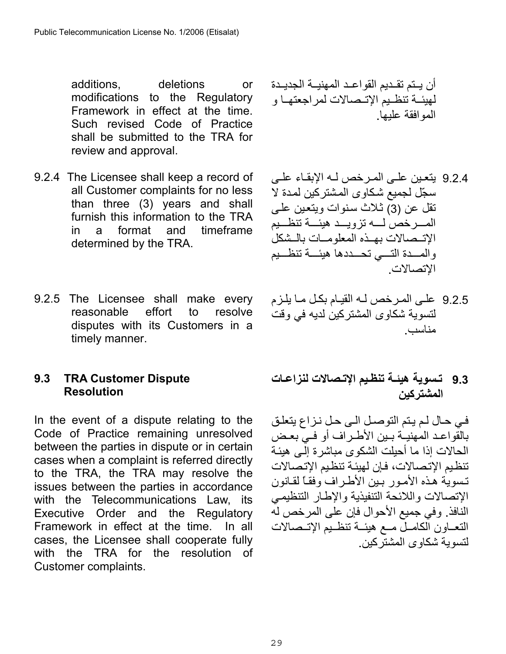additions, deletions or modifications to the Regulatory Framework in effect at the time. Such revised Code of Practice shall be submitted to the TRA for review and approval.

- 9.2.4 The Licensee shall keep a record of all Customer complaints for no less than three (3) years and shall furnish this information to the TRA in a format and timeframe determined by the TRA.
- 9.2.5 The Licensee shall make every reasonable effort to resolve disputes with its Customers in a timely manner.

### <span id="page-28-0"></span>**9.3 TRA Customer Dispute Resolution**

In the event of a dispute relating to the Code of Practice remaining unresolved between the parties in dispute or in certain cases when a complaint is referred directly to the TRA, the TRA may resolve the issues between the parties in accordance with the Telecommunications Law, its Executive Order and the Regulatory Framework in effect at the time. In all cases, the Licensee shall cooperate fully with the TRA for the resolution of Customer complaints.

أن يѧѧѧتم تقѧѧѧديم القواعѧѧѧد المهنيѧѧѧة الجديѧѧѧدة لهيئѧѧѧة تنظѧѧѧيم الإتѧѧѧصالات لمراجعتهѧѧѧا و الموافقة عليها.

- 9.2.4 يتعين على المرخص لـه الإبقـاء علـي سجّل لجميع شكاوى المشتركين لمدة لا تقل عن (3) ثلاث سنوات ويتعين علي المسر خص لسه تزويسد هيئسة تنظسيم الإتـممالات بهـذه المعلومـات بالـشكل والمسدة التسي تحسددها هيئسة تنظسيم الإتصالات.
- 9.2.5 على المرخص لـه القيـام بكل مـا يلـزم لتسوية شكاوى المشتركين لديه في وقت مناسب.
- **9.3 تѧسوية هيئѧѧة تنظѧيم الإتѧѧصالات لنزاعѧѧات المشترآين**

في حال لم يتم التوصل الى حل نزاع يتعلق بالقواعد المهنيــة بـين الأطـر اف أو فـي بعـض الحالات إذا ما أحبلت الشكوى مباشر ة إلى هبئـة تنظيم الإتصالات، فإن لهيئة تنظيم الإتصالات تسوية هذه الأمور بين الأطراف وفقاً لقانون الإتصالات واللائحة التنفيذية والإطار التنظيمي النافذ. وفي جميع الأحوال فإن على المرخص له التعاون الكامـل مـم هيئـة تنظـيم الإتــصالات لتسوية شكاوى المشتر كين.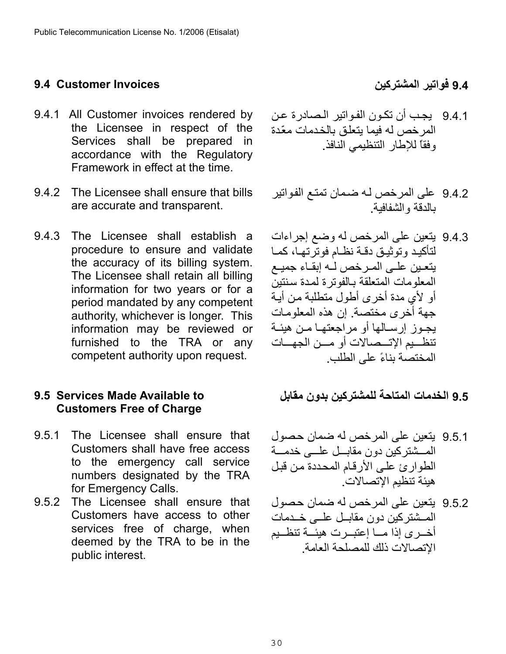### <span id="page-29-0"></span>**9.4 فواتير المشترآين Invoices Customer 9.4**

- 9.4.1 All Customer invoices rendered by the Licensee in respect of the Services shall be prepared in accordance with the Regulatory Framework in effect at the time.
- 9.4.2 The Licensee shall ensure that bills are accurate and transparent.
- 9.4.3 The Licensee shall establish a procedure to ensure and validate the accuracy of its billing system. The Licensee shall retain all billing information for two years or for a period mandated by any competent authority, whichever is longer. This information may be reviewed or furnished to the TRA or any competent authority upon request.

### <span id="page-29-1"></span>**9.5 Services Made Available to Customers Free of Charge**

- 9.5.1 The Licensee shall ensure that Customers shall have free access to the emergency call service numbers designated by the TRA for Emergency Calls.
- 9.5.2 The Licensee shall ensure that Customers have access to other services free of charge, when deemed by the TRA to be in the public interest.

- 9.4.1 يجب أن تكون الفواتير الصادرة عن المر خص له فيما بتعلق بالخدمات معّدة وفقاً للإطار التنظيمي النافذ.
- 9.4.2 على المرخص لـه ضمان تمتـع الفواتير بالدقة والشفافية.
- 9.4.3 يتعين على المرخص له وضع إجراءات لتأكيد وتوثيق دقـة نظـام فوتر تهـا، كمـا يتعين على المرخص له إبقاء جميع المعلومات المتعلقة بالفوترة لمدة سنتين أو لأي مدة أخرى أطول متطلبة من أيـة جهة أخرى مختصة. إن هذه المعلومات يجـوز إرسـالها أو مراجعتهـا مـن هيئـة تنظــيم الإتـــصـالات أو مـــن الجهـــات المختصة بناءً على الطلب.

**9.5 الخدمات المتاحة للمشترآين بدون مقابل** 

- 9.5.1 يتعين على المرخص له ضمان حصول المسشتركين دون مقابــل علـــي خدمـــة الطوارئ على الأرقام المحددة من قبل هيئة تنظيم الإتصالات .
- 9.5.2 يتعين على المرخص له ضمان حصول المـشتر كين دون مقابـل علــى خــدمات أخــرى إذا مـــا إعتبــرت هبئـــة تنظــبم الإتصالات ذلك للمصلحة العامة.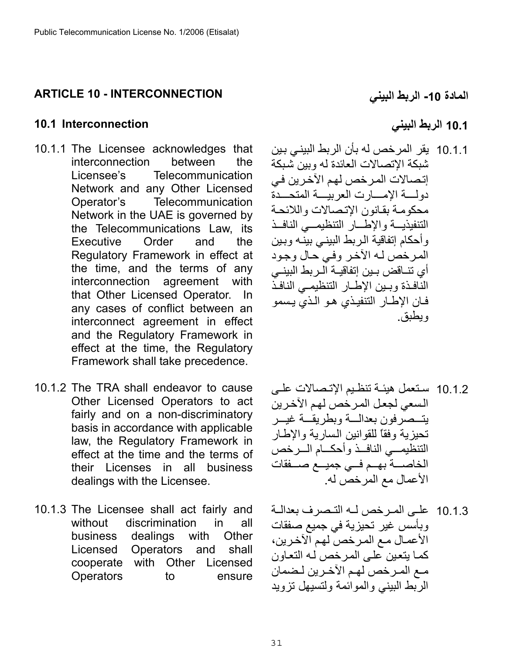## <span id="page-30-0"></span>**ARTICLE 10 - INTERCONNECTION**

#### <span id="page-30-1"></span>**10.1 الربط البيني Interconnection 10.1**

- 10.1.1 The Licensee acknowledges that interconnection between the Licensee's Telecommunication Network and any Other Licensed Operator's Telecommunication Network in the UAE is governed by the Telecommunications Law, its Executive Order and the Regulatory Framework in effect at the time, and the terms of any interconnection agreement with that Other Licensed Operator. In any cases of conflict between an interconnect agreement in effect and the Regulatory Framework in effect at the time, the Regulatory Framework shall take precedence.
- 10.1.2 The TRA shall endeavor to cause Other Licensed Operators to act fairly and on a non-discriminatory basis in accordance with applicable law, the Regulatory Framework in effect at the time and the terms of their Licenses in all business dealings with the Licensee.
- 10.1.3 The Licensee shall act fairly and without discrimination in all business dealings with Other Licensed Operators and shall cooperate with Other Licensed Operators to ensure

**المادة -10 الربط البيني** 

10.1.1 يقر المر خص له بأن الربط البيني بين شبكة الإتصالات العائدة له وبين شبكة إتصالات المرخص لهم الآخرين في دولسة الإمسارت العربيسة المتحسدة محكومة بقانون الإتصالات واللائحة التنفيذيــة والإطـار التنظيمــى النافـذ وأحكام إتفاقية الربط البيني بينه وبين المرخص لـه الآخر وفي حال وجود أي تنــاقض بـين إتفاقيــة الـربط البينــى النافذة وبين الإطار التنظيمي النافذ فان الإطار التنفيذي هو الذي يسمو ويطبق.

- 10.1.2 ستعمل هيئـة تنظـيم الإتـصـالات علـي السعي لجعل المرخص لهم الآخرين بتسصر فون بعدالسة وبطر بقسة غبسر تحيز ية وفقاً للقوانين السارية والإطار التنظيمــي النافــذ وأحكـــام الـــرخص الخاصسة بهم في جميع صسفقات الأعمال مع المرخص له.
- 10.1.3 على المرخص لـه التـصرف بعدالـة وبأسس غير تحيزية في جميع صفقات الأعمـال مـع المـرخص لهم الآخرين، كما يتعين على المر خص لـه التعاون مـع المـرخص لهـم الآخـرين لـضمان الربط البيني والموائمة ولتسيهل تزويد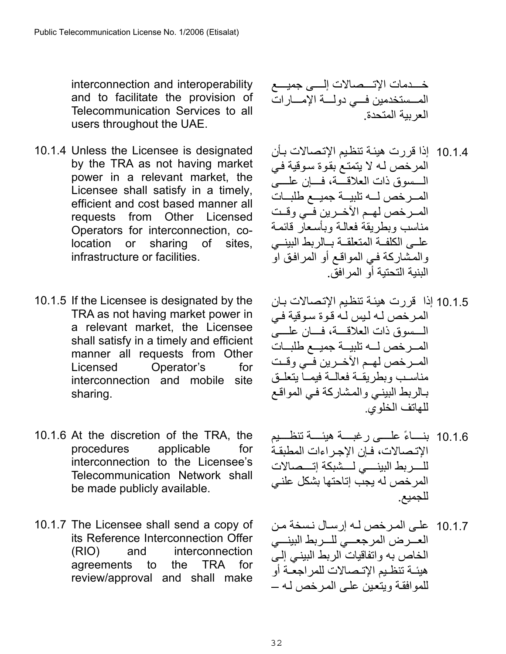interconnection and interoperability and to facilitate the provision of Telecommunication Services to all users throughout the UAE.

- 10.1.4 Unless the Licensee is designated by the TRA as not having market power in a relevant market, the Licensee shall satisfy in a timely, efficient and cost based manner all requests from Other Licensed Operators for interconnection, colocation or sharing of sites, infrastructure or facilities.
- 10.1.5 If the Licensee is designated by the TRA as not having market power in a relevant market, the Licensee shall satisfy in a timely and efficient manner all requests from Other Licensed Operator's for interconnection and mobile site sharing.
- 10.1.6 At the discretion of the TRA, the procedures applicable for interconnection to the Licensee's Telecommunication Network shall be made publicly available.
- 10.1.7 The Licensee shall send a copy of its Reference Interconnection Offer (RIO) and interconnection agreements to the TRA for review/approval and shall make

خѧѧѧѧѧѧدمات الإتѧѧѧѧѧѧصالات إلѧѧѧѧѧѧى جميѧѧѧѧѧѧع المѧѧѧѧѧستخدمين فѧѧѧѧѧي دولѧѧѧѧѧة الإمѧѧѧѧѧارات العربية المتحدة.

- 10.1.4 إذا قررت هيئـة تنظيم الإتـصـالات بـأن المرخص له لا يتمتع بقوة سوقية في السسوق ذات العلاقسة، فسان علسي المسرخص لسه تلبيسة جميسع طلبسات المسرخص لهم الآخـرين فـي وقـت مناسب وبطريقة فعالمة وبأسعار قائمة علمى الكلفة المتعلقة بالربط البينسي والمشاركة في المواقع أو المرافق او البنية التحتية أو المرافق.
- 10.1.5 إذا قررت هيئـة تنظيم الإتصالات بـان المرخص له ليس له قوة سوقية في المسسوق ذات العلاقسة، فسان علسيّ المسرخص لسه تلبيسة جميسع طلبسات المر خص لهـم الآخـرين فـي وقـت مناسب وبطريقة فعالمة فيمماً يتعلىق بالربط البيني والمشاركة في المواقع للهاتف الخلوي .
- 10.1.6 بنساءً علسي رغبسة هيئسة تنظسيم الإتـصالات، فـإن الإجـراءات المطبقـة للسربط البينسي لسشبكة إتسصالات المرخص له يجب إتاحتها بشكل علني للجميع.
- 10.1.7 على المرخص له إرسال نسخة من العسرض المرجعسي للسربط البينسي الخاص به واتفاقيات الربط البيني إلى هيئـة تنظـيم الإتـصـالات للمراجعـة أو للمو افقـة ويتعين علـى المرخص لـه –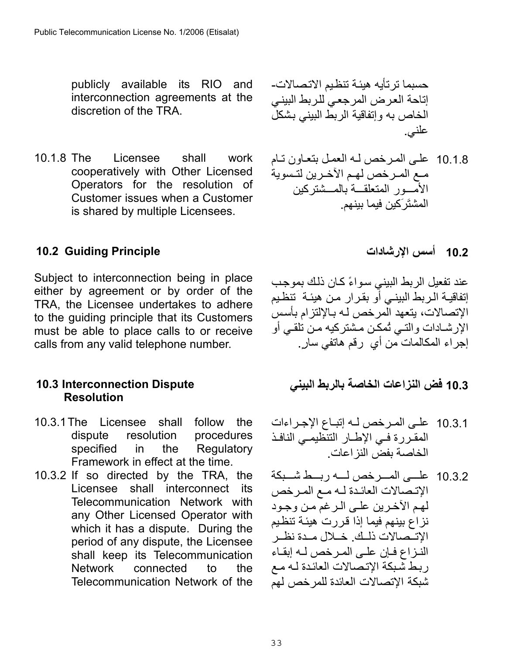publicly available its RIO and interconnection agreements at the discretion of the TRA.

10.1.8 The Licensee shall work cooperatively with Other Licensed Operators for the resolution of Customer issues when a Customer is shared by multiple Licensees.

## حسبما ترتأيه هيئة تنظيم الاتصالات-إتاحة العرض المرجعي للربط البيني الخاص به وإنفاقية الربط البيني بشكل علني.

10.1.8 على المرخص له العمل بتعاون تام مـع المـرخص لهم الآخـرين لتـسوية الأمسور المتعلقسة بالمسشتركين المشتَرَآين فيما بينهم.

## <span id="page-32-0"></span>**10.2 Guiding Principle**

Subject to interconnection being in place either by agreement or by order of the TRA, the Licensee undertakes to adhere to the guiding principle that its Customers must be able to place calls to or receive calls from any valid telephone number.

#### <span id="page-32-1"></span>**10.3 Interconnection Dispute Resolution**

- 10.3.1 The Licensee shall follow the dispute resolution procedures specified in the Regulatory Framework in effect at the time.
- 10.3.2 If so directed by the TRA, the Licensee shall interconnect its Telecommunication Network with any Other Licensed Operator with which it has a dispute. During the period of any dispute, the Licensee shall keep its Telecommunication Network connected to the Telecommunication Network of the

### **10.2 أسس الإرشادات**

عند تفعيل الربط البيني سواءً كـان ذلك بموجب إتفاقيـة الـربط البينـي أَو بقرار مـن هيئـة تنظـيم الإتصالات، يتعهد المرخص لـه بـالإلتزام بأسس الإرشادات والتـي تُمكن مشتركيه مـن تلقـي أو إجراء المكالمات من أي رقم هاتفي سار.ٍ

**10.3 فض النزاعات الخاصة بالربط البيني** 

- 10.3.1 على المرخص لـه إتبـاع الإجـراءات المقررة في الإطار التنظيمي النافذ الخاصة بفض النزاعات .
- 10.3.2 على المسرخص لسه ربسط شسبكة الإتصالات العائدة له مـع المرخص لهم الآخرين على الرغم من وجود نز اع بينهم فيما إذا قر ر ت هيئـة تنظيم الإتــصالات ذلــك. خــلال مــدة نظــر النزاع فإن على المرخص له إبقاء ربط شْبكة الإتصالات العائدة لـه مع شبكة الإتصالات العائدة للمرخص لهم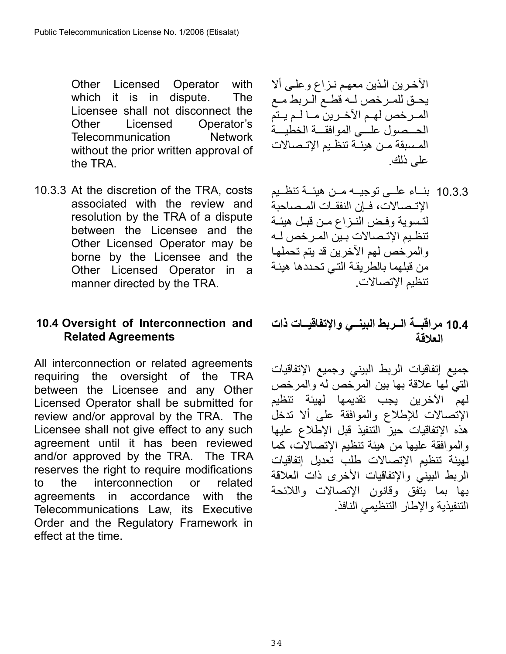Other Licensed Operator with which it is in dispute. The Licensee shall not disconnect the Other Licensed Operator's Telecommunication Network without the prior written approval of the TRA.

10.3.3 At the discretion of the TRA, costs associated with the review and resolution by the TRA of a dispute between the Licensee and the Other Licensed Operator may be borne by the Licensee and the Other Licensed Operator in a manner directed by the TRA.

## <span id="page-33-0"></span>**10.4 Oversight of Interconnection and Related Agreements**

All interconnection or related agreements requiring the oversight of the TRA between the Licensee and any Other Licensed Operator shall be submitted for review and/or approval by the TRA. The Licensee shall not give effect to any such agreement until it has been reviewed and/or approved by the TRA. The TRA reserves the right to require modifications to the interconnection or related agreements in accordance with the Telecommunications Law, its Executive Order and the Regulatory Framework in effect at the time.

الآخرين الذين معهم نـزاع وعلـى ألا يحـق للمـرخص لـه قطـع الـربط مـع المسرخص لهم الآخرين ما لـم يـتم الحــصول علـــى الموافقــة الخطيــة المسبقة من هيئـة تنظـيم الإتـصالات على ذلك .

10.3.3 بناء علمى توجيـه مـن هيئـة تنظـيم الإتـصالات، فيإن النفقيات المـصاحبة لتُسوية وفض النـزاع مـن قبـل هيئـة تنظيم الإتىصالات بين المر خص لـه والمرخص لهم الأخرين قد يتم تحملها من قبلهما بالطريقة التي تحددها هيئة تنظيم الإتصالات.

## **10.4 مراقبѧѧѧة الѧѧѧربط البينѧѧѧي والإتفاقيѧѧѧات ذات العلاقة**

جميع إتفاقيات الربط البيني وجميع الإتفاقيات التي لها علاقة بها بين المرخص له والمرخص لهم الآخرين يجب تقديمها لهيئة تنظيم الإتصالات للإطلاع والموافقة على ألا تدخل هذه الإتفاقيات حيز التنفيذ قبل الإطلاع عليها والموافقة عليها من هيئة تنظيم الإتصالات، كما لهيئة تنظيم الإتصالات طلب تعديل إتفاقيات الربط البيني والإتفاقيات الأخرى ذات العلاقة بها بما يتفق وقانون الإتصالات واللائحة التنفيذية والإطار التنظيمي النافذ .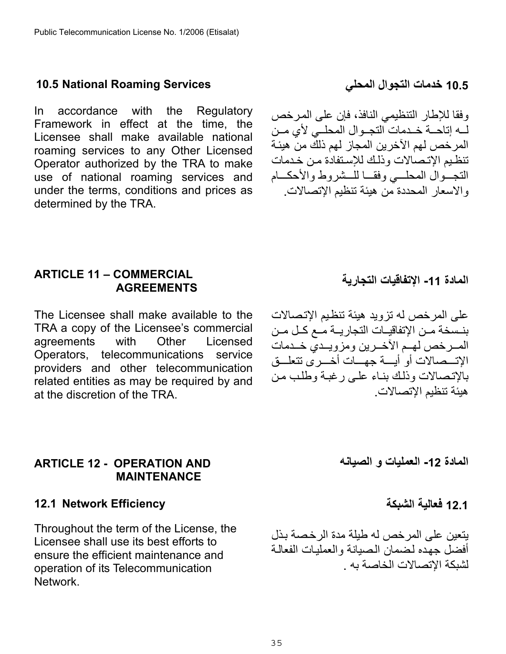## <span id="page-34-0"></span>**10.5 National Roaming Services**

In accordance with the Regulatory Framework in effect at the time, the Licensee shall make available national roaming services to any Other Licensed Operator authorized by the TRA to make use of national roaming services and under the terms, conditions and prices as determined by the TRA.

**10.5 خدمات التجوال المحلي**

وفقا للإطار التنظيمي النافذ، فإن على المرخص له إتاحـة خـدمات التجـوال المحلــّي لأي مـن المر خص لهم الآخر ين المجاز لهم ذلك من هيئـة تنظيم الإتصالات وذلك للإستفادة من خدمات التجــوال المحلـــي وفقــا للــشروط والأحكـــام والاسعار المحددة من هيئة تنظيم الإتصالات.

### <span id="page-34-1"></span>**ARTICLE 11 – COMMERCIAL AGREEMENTS**

The Licensee shall make available to the TRA a copy of the Licensee's commercial agreements with Other Licensed Operators, telecommunications service providers and other telecommunication related entities as may be required by and at the discretion of the TRA.

### <span id="page-34-2"></span>**ARTICLE 12 - OPERATION AND MAINTENANCE**

### <span id="page-34-3"></span>**12.1 Network Efficiency**

Throughout the term of the License, the Licensee shall use its best efforts to ensure the efficient maintenance and operation of its Telecommunication Network.

**المادة -11 الإتفاقيات التجارية** 

على المرخص له تزويد هيئة تنظيم الإتصالات بنـسخة مـن الإتفاقيـات التجاريــة مــع كـل مـن المـر خص لهـم الآخـرين ومزويـدي خـدمات الإتــصالات أو أيـــة جهـــات أخـــرى تتعلـــق بالإتصالات وذلك بناء علىي رغبة وطلب من هيئة تنظيم الإتصالات.

**المادة -12 العمليات و الصيانه** 

**12.1 فعالية الشبكة** 

يتعين على المرخص له طيلة مدة الرخصة بذل أفضل جهده لضمان الصيانة و العمليات الفعالية لشبكة الإتصالات الخاصة به .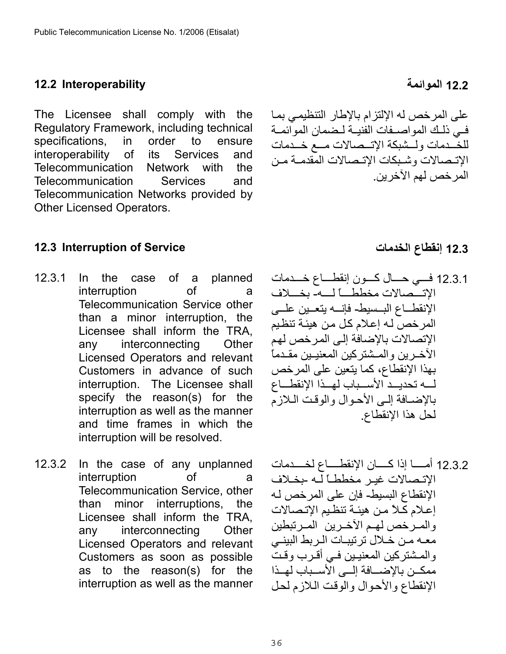### <span id="page-35-0"></span>**12.2 الموائمة Interoperability 12.2**

The Licensee shall comply with the Regulatory Framework, including technical specifications, in order to ensure interoperability of its Services and Telecommunication Network with the Telecommunication Services and Telecommunication Networks provided by Other Licensed Operators.

# <span id="page-35-1"></span>**12.3 Interruption of Service الخدمات إنقطاع 12.3**

- 12.3.1 In the case of a planned interruption of a Telecommunication Service other than a minor interruption, the Licensee shall inform the TRA, any interconnecting Other Licensed Operators and relevant Customers in advance of such interruption. The Licensee shall specify the reason(s) for the interruption as well as the manner and time frames in which the interruption will be resolved.
- 12.3.2 In the case of any unplanned interruption of a Telecommunication Service, other than minor interruptions, the Licensee shall inform the TRA, any interconnecting Other Licensed Operators and relevant Customers as soon as possible as to the reason(s) for the interruption as well as the manner

# على المرخص له الإلتزام بالإطار التنظيمي بما في ذلك المواصـفات الفنيـة لـضمان الموائمـة للخـدمات ولمشبكة الإتـممالات مـع خـدمات الإتـصالات وشـبكات الإتـصالات المقدمـة مـن المرخص لهم الآخرين .

- 12.3.1 فسي حسال كسون إنقطساع خسدمات الإتسْصالات مخططساً لسه- بخسلاف الإنقطــاع البــسيط- فإنسه يتعــين علـــى المرخص لـه إعلام كل من هيئة تنظيم الإتصالات بالإضافة إلى المرخص لهم الآخـرين والمـشتركين المعنيـين مقـدماً بهذا الإنقطاع، آما يتعين على المرخص لمه تحديد الأسـباب لهـذا الإنقطــاع بالإضبافة إلى الأحوال والوقت البلازم لحل هذا الإنقطاع.
- 12.3.2 أمســا إذا كـــــان الإنقطـــــاع لخـــــدمات الإتـصالات غيـر مخططـاً لّـه -بخـلاف الإنقطاع البسيط- فإن على المرخص لѧه إعلام كلأ من هيئـة تنظيم الإتصالات والمرخص لهم الأخرين المرتبطين معه من خـلال ترتيبـات الـربط البينـي والمشتركين المعنيين فـي أقـرب وقتً ممكـن بالإضـــافة إلـــى الأســباب لهــذا الإنقطاع والأحوال والوقت اللازم لحل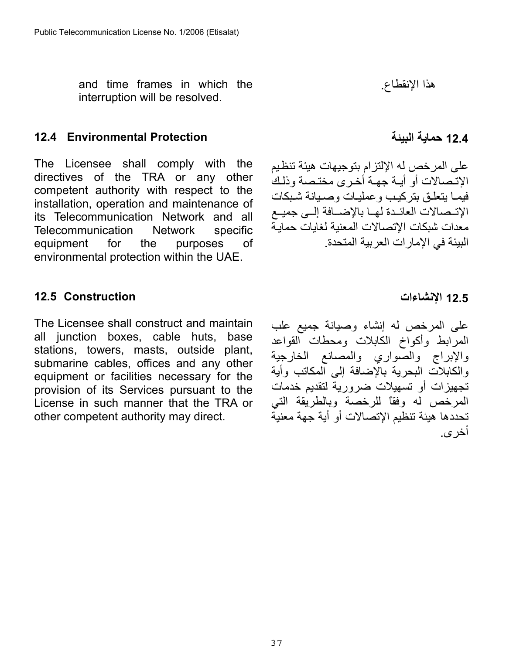and time frames in which the interruption will be resolved.

## <span id="page-36-0"></span>**12.4 Environmental Protection**

The Licensee shall comply with the directives of the TRA or any other competent authority with respect to the installation, operation and maintenance of its Telecommunication Network and all Telecommunication Network specific equipment for the purposes of environmental protection within the UAE.

#### <span id="page-36-1"></span>**12.5 Construction**

The Licensee shall construct and maintain all junction boxes, cable huts, base stations, towers, masts, outside plant, submarine cables, offices and any other equipment or facilities necessary for the provision of its Services pursuant to the License in such manner that the TRA or other competent authority may direct.

هذا الإنقطاع.

**12.4 حماية البيئة** 

على المرخص له الإلتزام بتوجيهات هيئة تنظيم الاتـصالات أو أبــة جهـة أخـرى مختـصة وذلـك فيما يتعلق بتركيب وعمليات وصميانة شبكات الإتـمـالات العائـدة لهـا بالإضـافة إلــي جميـع معدات شبكات الإتصالات المعنية لغايات حمايѧة البيئة في الإمارات العربية المتحدة.

#### **12.5 الإنشاءات**

على المرخص له إنشاء وصيانة جميع علب المرابط وأآواخ الكابلات ومحطات القواعد والإبراج والصواري والمصانع الخارجية والكابلات البحرية بالإضافة إلى المكاتب وأية تجهيزات أو تسهيلات ضرورية لتقديم خدمات المرخص له وفقاً للرخصة وبالطريقة التي تحددها هيئة تنظيم الإتصالات أو أية جهة معنية أخرى .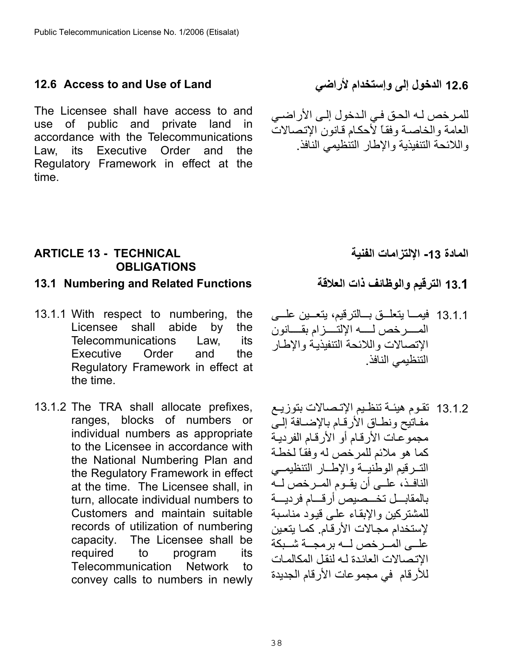### <span id="page-37-0"></span>**12.6 Access to and Use of Land**

The Licensee shall have access to and use of public and private land in accordance with the Telecommunications Law, its Executive Order and the Regulatory Framework in effect at the time.

## **12.6 الدخول إلى وإستخدام لأراضي**

للمرخص لـه الحق في الـدخول إلـى الأراضـي العامة والخاصمة وفقاً لأحكام قانون الإتصالات واللائحة التنفيذية والإطار التنظيمي النافذ .

**المادة -13 الإلتزامات الفنية** 

## <span id="page-37-1"></span>**ARTICLE 13 - TECHNICAL OBLIGATIONS**

### <span id="page-37-2"></span>**13.1 الترقيم والوظائف ذات العلاقة Functions Related and Numbering 13.1**

- 13.1.1 With respect to numbering, the Licensee shall abide by the Telecommunications Law, its Executive Order and the Regulatory Framework in effect at the time.
- 13.1.2 The TRA shall allocate prefixes, ranges, blocks of numbers or individual numbers as appropriate to the Licensee in accordance with the National Numbering Plan and the Regulatory Framework in effect at the time. The Licensee shall, in turn, allocate individual numbers to Customers and maintain suitable records of utilization of numbering capacity. The Licensee shall be required to program its Telecommunication Network to convey calls to numbers in newly

- 13.1.1 فيمــا يتعلــق بـــالترقيم، يتعــين علـــي المهر خص لمسه الإلتسيز ام بقسانون الإتصالات واللائحة التنفيذيـة والإطـار التنظيمي النافذ.
- 13.1.2 تقوم هيئـة تنظيم الإتـصـالات بتوزيـع مفاتيح ونطاق الأرقام بالإضافة إلىي مجموعات الأرقام أو الأرقام الفردية كما هو ملائم للمرخص له وفقاً لخطة التسرقيم الوطنيسة والإطسار التنظيمي النافـذ، علــي أن يقــوم المــرخص لــه بالمقابسل تخسصيص أرقسام فرديسة للمشتركين والإبقاء على قيود مناسبة لإستخدام مجـالات الأر قـام. كمـا يتعين علــي المــر خص لـــه بر مجـــة شــبكة الاتصالات العائدة لـه لنقل المكالمات للأرقام في مجموعات الأرقام الجديدة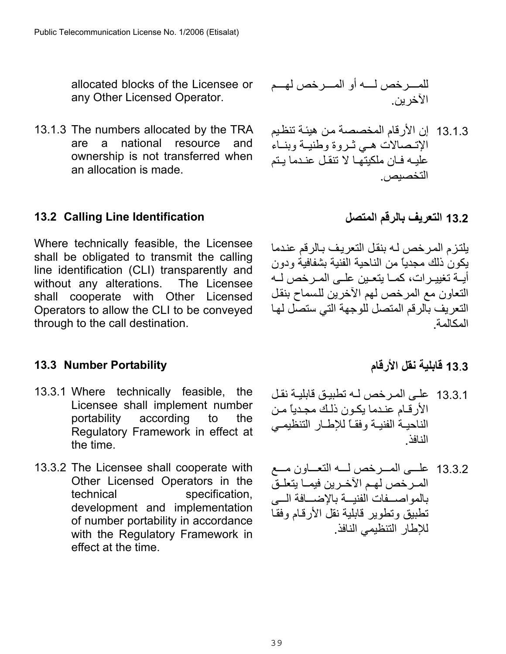allocated blocks of the Licensee or any Other Licensed Operator.

13.1.3 The numbers allocated by the TRA are a national resource and ownership is not transferred when an allocation is made.

### <span id="page-38-0"></span>**13.2 Calling Line Identification**

Where technically feasible, the Licensee shall be obligated to transmit the calling line identification (CLI) transparently and without any alterations. The Licensee shall cooperate with Other Licensed Operators to allow the CLI to be conveyed through to the call destination.

#### <span id="page-38-1"></span>**13.3 Number Portability**

- 13.3.1 Where technically feasible, the Licensee shall implement number portability according to the Regulatory Framework in effect at the time.
- 13.3.2 The Licensee shall cooperate with Other Licensed Operators in the technical specification, development and implementation of number portability in accordance with the Regulatory Framework in effect at the time.

للمѧѧѧѧѧرخص لѧѧѧѧѧه أو المѧѧѧѧѧرخص لهѧѧѧѧѧم الآخرين.

- 13.1.3 إن الأرقام المخصصة من هيئة تنظيم الإتصالات هي ثروة وطنيـة وبنـاء عليـه فـان ملكيتهـا لا تنقـل عنـدما يـتم التخصيص.
	- **13.2 التعريف بالرقم المتصل**

يلتزم المرخص لـه بنقل التعريف بـالرقم عندما يكون ذلك مجدياً من الناحية الفنية بشفافية ودون أيــة تغييـرات، كمــا يتعـين علــى المـرخص لــه التعاون مع المرخص لهم الآخرين للѧسماح بنقѧل التعريف بالرقم المتصل للوجهة التي ستصل لها المكالمة.

## **13**.**3 قابلية نقل الأرقام**

- 13.3.1 على المرخص لـه تطبيق قابليـة نقل الأر قـام عنـدما يكـون ذلـك مجـدياً مـن الناحيـة الفنيـة وفقـاً للإطـار التنظيمـي النافذ.
- 13.3.2 علسى المسرخص لسه التعساون مسع المرخص لهم الآخرين فيمـا يتعلـق بالمواصسفات الفنيسة بالإضسافة السي تطبيق وتطوير قابلية نقل الأرقام وفقا للإطار التنظيمي النافذ.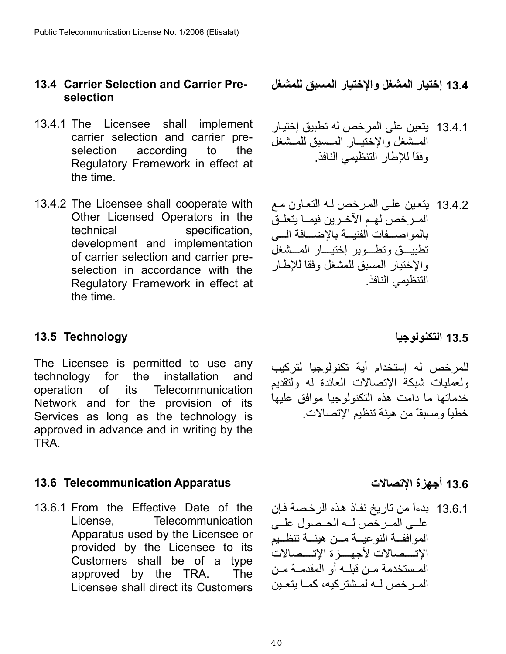#### <span id="page-39-0"></span>**13.4 Carrier Selection and Carrier Preselection**

- 13.4.1 The Licensee shall implement carrier selection and carrier preselection according to the Regulatory Framework in effect at the time.
- 13.4.2 The Licensee shall cooperate with Other Licensed Operators in the technical specification, development and implementation of carrier selection and carrier preselection in accordance with the Regulatory Framework in effect at the time.

### <span id="page-39-1"></span>**13.5 Technology**

The Licensee is permitted to use any technology for the installation and operation of its Telecommunication Network and for the provision of its Services as long as the technology is approved in advance and in writing by the TRA.

## <span id="page-39-2"></span>**13.6 أجهزة الإتصالات Apparatus Telecommunication 13.6**

13.6.1 From the Effective Date of the License, Telecommunication Apparatus used by the Licensee or provided by the Licensee to its Customers shall be of a type approved by the TRA. The Licensee shall direct its Customers

**13.4 إختيار المشغل والإختيار المسبق للمشغل**

- 13.4.1 يتعين على المرخص له تطبيق إختيѧار المسشغل والإختيسار المسسبق للمسشغل وفقاً للإطار التنظيمي النافذ.
- 13.4.2 يتعين على المرخص لـه التعاون مـع المرخص لهم الآخرين فيمـا يتعلـقّ بالمواصسفات الفنيسة بالإضسافة السي تطبيسق وتطوير إختيسار المسشغل والإختيار المسبق للمشغل وفقا للإطار التنظيمي النافذ.

## **13.5 التكنولوجيا**

للمرخص له إستخدام أية تكنولوجيا لتركيب ولعمليات شبكة الإتصالات العائدة له ولتقديم خدماتها ما دامت هذه التكنولوجيا موافق عليها خطياً ومسبقاً من هيئة تنظيم الإتصالات .

13.6.1 بدءاً من تاريخ نفاذ هذه الرخصة فإن علمى المرخص له الحصول علمى الموافقة النوعيــة مــن هيئــة تنظــيم الإتسـصالات لأجهسـزة الإتسـصالات المستخدمة مـن قبلـه أو المقدمـة مـن المر خص لـه لمشتر كبه، كمـا بتعـبن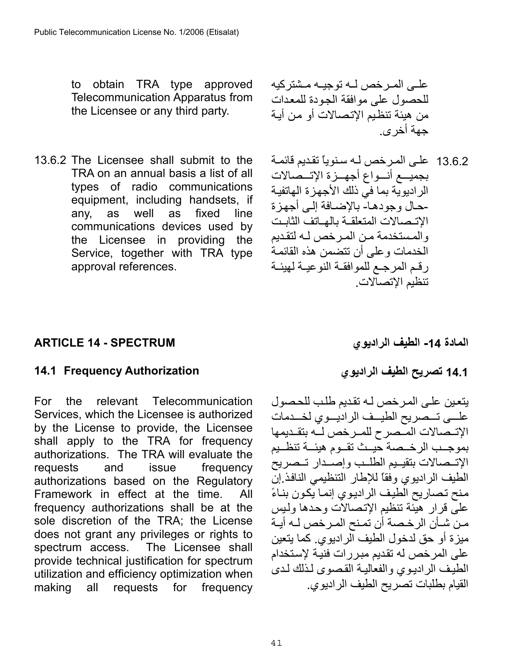to obtain TRA type approved Telecommunication Apparatus from the Licensee or any third party.

13.6.2 The Licensee shall submit to the TRA on an annual basis a list of all types of radio communications equipment, including handsets, if any, as well as fixed line communications devices used by the Licensee in providing the Service, together with TRA type approval references.

علـي المـرخص لـه توجيـه مـشتر كيه للحصول على موافقة الجودة للمعدات من هيئة تنظيم الإتصالات أو من أيـة جهة أخرى .

13.6.2 على المرخص لـه سنوياً تقديم قائمـة بجميــع أنــواع أجهــزة الإتـــصالات الر اديوية بما في ذلك الأجهزة الهاتفية الإتـصالات المتعلقـة بالهـاتف الثابـت ححال وجودهـا- بالإضـافة إلـى أجهز ة والمستخدمة من المر خص لـه لتقديم الخدمات وعلى أن تتضمن هذه القائمة رقم المرجع للموافقة النوعيـة لهيئـة تنظيم الإتصالات.

## <span id="page-40-0"></span>**المادة -14 الطيف الراديوي SPECTRUM - 14 ARTICLE**

## <span id="page-40-1"></span>**14.1 تصريح الطيف الراديوي Authorization Frequency 14.1**

For the relevant Telecommunication Services, which the Licensee is authorized by the License to provide, the Licensee shall apply to the TRA for frequency authorizations. The TRA will evaluate the requests and issue frequency authorizations based on the Regulatory Framework in effect at the time. All frequency authorizations shall be at the sole discretion of the TRA; the License does not grant any privileges or rights to spectrum access. The Licensee shall provide technical justification for spectrum utilization and efficiency optimization when making all requests for frequency

يتعين على المرخص لـه تقديم طلب للحصول علسي تسصريح الطيسف الراديسوي لخسدمات الإتـصالات المـّصرح للمـرخص لــه بتقـديمها بموجـب الرخـصة حيئ تقـوم هيئــة تنظـيم الإتـمبالات بتقيـيم الطلـب وإصـدار تـصريح الطيف الراديوي وفقاً للإطار التنظيمي النافذ.إنّ منح تصاريح الطيف الراديوي إنما يكون بناءً على قرار هيئة تنظيم الإتصالات وحدها وليس مـن شـأن الرخـصـة أن تمـنح المـرخص لــه أيــة ميزة أو حق لدخول الطيف الراديوي. آما يتعين على المر خص له تقديم مبر رات فنيـة لإستخدام الطيف الراديوي والفعالية القصوى لذلك لدى القيام بطلبات تصريح الطيف الراديوي.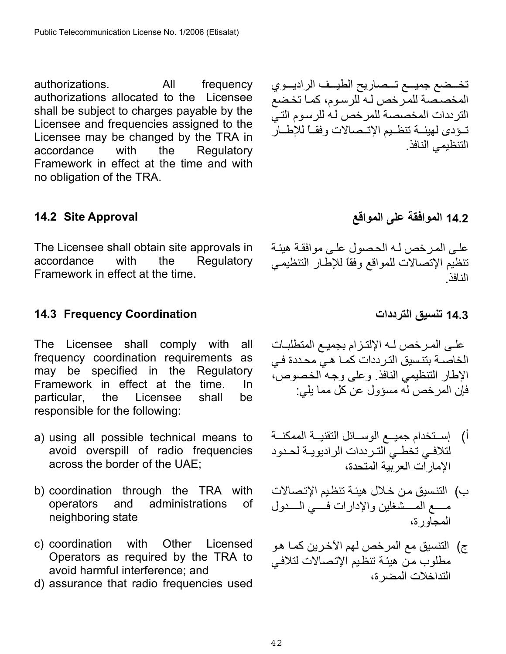authorizations. All frequency authorizations allocated to the Licensee shall be subject to charges payable by the Licensee and frequencies assigned to the Licensee may be changed by the TRA in accordance with the Regulatory Framework in effect at the time and with no obligation of the TRA.

<span id="page-41-0"></span>

The Licensee shall obtain site approvals in accordance with the Regulatory Framework in effect at the time.

## <span id="page-41-1"></span>**14.3 تنسيق الترددات Coordination Frequency 14.3**

The Licensee shall comply with all frequency coordination requirements as may be specified in the Regulatory Framework in effect at the time. In particular, the Licensee shall be responsible for the following:

- a) using all possible technical means to avoid overspill of radio frequencies across the border of the UAE;
- b) coordination through the TRA with operators and administrations of neighboring state
- c) coordination with Other Licensed Operators as required by the TRA to avoid harmful interference; and
- d) assurance that radio frequencies used

تخـضع جميــع تــصاريح الطيــف الراديــوي المخصـصة للمرخص لـه للرسوم، كمـا تخضع الترددات المخصصة للمرخص لـه للرسوم التـيّ تودى لهيئـة تنظـيم الإتـصالات وفقـأ للإطـار التنظيمي النافذ.

**14.2 الموافقة على المواقع Approval Site 14.2**

علے المر خص لـه الحصول علـى موافقـة هيئـة تنظيم الإتصالات للمواقع وفقاً للإطار التنظيمي النافذ .

علـى المـرخص لـه الإلتـزام بجميـع المتطلبـات الخاصــة بتنـسيق التـر ددات كمـا هـي محـددة فـي الإطار التنظيمي النافذ. وعلى وجه الخصوص، فإن المر خص له مسؤول عن كل مما بلي:

- أ) ﴿ إســتخدام جميـــع الموســـائل التقنيـــة الممكنـــة لتلافـي تخطـي التـرددات الراديويــة لحـدود الإمارات العربية المتحدة،
- ب) التنسيق من خلال هيئة تنظيم الإتصالات مسع المسشغلين والإدارات فسي السدول المجاورة،
- ج) التنسيق مع المرخص لهم الآخرين كمـا هو مطلوب من هيئة تنظيم الإتصالات لتلافي التداخلات المضرة،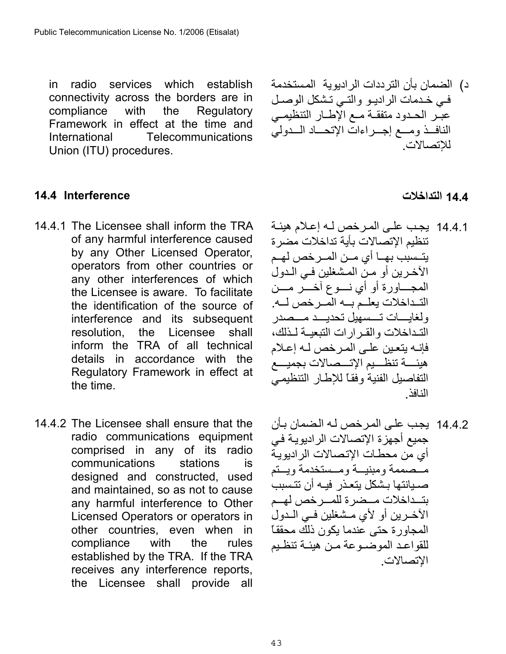in radio services which establish connectivity across the borders are in compliance with the Regulatory Framework in effect at the time and International Telecommunications Union (ITU) procedures.

### <span id="page-42-0"></span>**14.4 التداخلات Interference 14.4**

- 14.4.1 The Licensee shall inform the TRA of any harmful interference caused by any Other Licensed Operator, operators from other countries or any other interferences of which the Licensee is aware. To facilitate the identification of the source of interference and its subsequent resolution, the Licensee shall inform the TRA of all technical details in accordance with the Regulatory Framework in effect at the time.
- 14.4.2 The Licensee shall ensure that the radio communications equipment comprised in any of its radio communications stations is designed and constructed, used and maintained, so as not to cause any harmful interference to Other Licensed Operators or operators in other countries, even when in compliance with the rules established by the TRA. If the TRA receives any interference reports, the Licensee shall provide all

د) الضمان بأن الترددات الراديوية المѧستخدمة في خدمات الراديو والتي تشكل الوصل عبر الحدود متفقة مع الإطار التنظيمي الناف ومسع إجسراءات الإتحساد السدولي للإتصالات.

- 14.4.1 يجب على المر خص لـه إعلام هيئـة تنظيم الإتصالات بأية تداخلات مضرة يتــسبب بهــا أي مــن المــرخص لهــم الآخرين أو مـن المشغلين فـي الـدول المجـــاورة أو أي نسـوع آخـــر مـــن التداخلات يعلـم بـه المرخص لــه. ولغايسات تسسهيل تحديسد مسصدر التداخلات والقرارات التبعيـة لـذلك، فإنـه يتعين علـى المـرخص لـه إعـلام هيئسة تنظسيم الإتسصالات بجميسع التفاصيل الفنية وفقاً للإطار التنظيمي النافذ.
- 14.4.2 يجب على المرخص لـه الضمان بـأن جميع أجهزة الإتصالات الراديويـة في أي من محطـات الإتـصـالات الر اديويـة مــْصممة ومبنيــة ومــستخدمة ويستم صبيانتها بشكل يتعذر فيه أن تتسبب بتهداخلات مسضر ة للمسر خص لهسم الآخـرين أو لأي مـشغلين فـي الـدول المجاور ة حتى عندما يكون ذلك محققاً للقواعد الموضـوعة مـن هيئـة تنظـيم الإتصالات.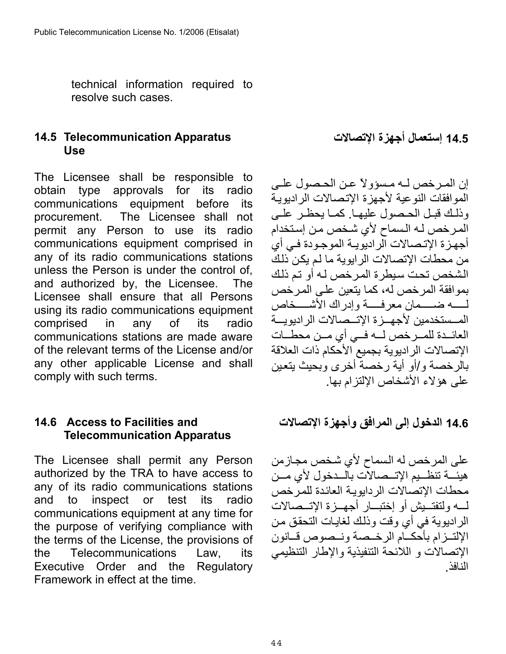technical information required to resolve such cases.

## <span id="page-43-0"></span>**14.5 Telecommunication Apparatus Use**

The Licensee shall be responsible to obtain type approvals for its radio communications equipment before its procurement. The Licensee shall not permit any Person to use its radio communications equipment comprised in any of its radio communications stations unless the Person is under the control of, and authorized by, the Licensee. The Licensee shall ensure that all Persons using its radio communications equipment comprised in any of its radio communications stations are made aware of the relevant terms of the License and/or any other applicable License and shall comply with such terms.

### <span id="page-43-1"></span>**14.6 Access to Facilities and Telecommunication Apparatus**

The Licensee shall permit any Person authorized by the TRA to have access to any of its radio communications stations and to inspect or test its radio communications equipment at any time for the purpose of verifying compliance with the terms of the License, the provisions of the Telecommunications Law, its Executive Order and the Regulatory Framework in effect at the time.

### **14.5 إستعمال أجهزة الإتصالات**

إن المرخص لـه مـسؤولاً عـن الحـصول علـي الموافقات النوعية لأجهزة الإتصالات الراديوية وذلك قبل الحصول عليهـا. كمـا يحظـر علـى المرخص لـه الـسماح لأي شخص من إستخدام أجهزة الإتصالات الراديويـة الموجودة فـي أي من محطات الإتصالات الرايوية ما لم يكن ذلك الشخص تحت سيطرة المرخص لـه أو تم ذلك بموافقة المرخص له، كما يتعين على المرخص لمسه ضمسمان معر فسسة وإدر اك الأشسـخاص المــستخدمين لأجهــز ة الإتــصـالات الر اديو يـــة العائدة للمرخص له في أي من محطات الإتصالات الراديوية بجميع الأحكام ذات العلاقة بالرخصة و/أو أية رخصة أخرى وبحيث يتعين على هؤلاء الأشخاص الإلتزام بها.

**14.6 الدخول إلى المرافق وأجهزة الإتصالات**

على المرخص له السماح لأي شخص مجازمن هيئـــة تنظــيم الإتـــصالات بالــدخول لأي مــن محطات الإتصالات الر دايوية العائدة للمر خص لسه ولتفتـبش أو إختبــار أجهــز ة الاتــصالات الراديوية في أي وقت وذلك لغايات التحقق من الإلتـزام بأحكـام الرخـصة ونـصوص قـانون الإتصالات و اللائحة التنفيذية والإطار التنظيمي النافذ.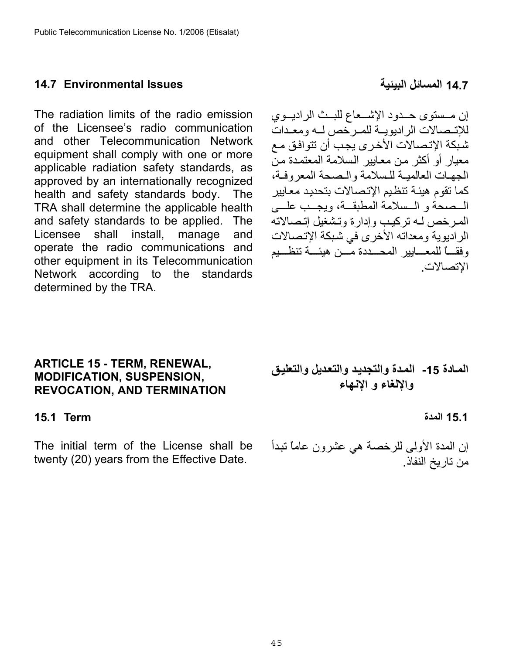#### <span id="page-44-0"></span>**14.7 المسائل البيئية Issues Environmental 14.7**

The radiation limits of the radio emission of the Licensee's radio communication and other Telecommunication Network equipment shall comply with one or more applicable radiation safety standards, as approved by an internationally recognized health and safety standards body. The TRA shall determine the applicable health and safety standards to be applied. The Licensee shall install, manage and operate the radio communications and other equipment in its Telecommunication Network according to the standards determined by the TRA.

<span id="page-44-1"></span>**ARTICLE 15 - TERM, RENEWAL, MODIFICATION, SUSPENSION, REVOCATION, AND TERMINATION** 

#### <span id="page-44-2"></span>**15.1 المدة Term 15.1**

The initial term of the License shall be twenty (20) years from the Effective Date.

المـادة 15- المـدة والتجديـد والتعديل والتعليق **والإلغاء و الإنهاء** 

إن المدة الأولى للرخصة هي عشرون عاماً تبدأ من تاريخ النفاذ.

إن مــستوى حــدود الإشــعاع للبــث الراديــوي للإتـصالات الراديويـة للمـرخص لـه ومعـدات شبكة الإتصالات الأخرى يجب أن تتوافق مع معبار أو أكثر من معابير السلامة المعتمدة من الجهات العالمية للسلامة والصحة المعروفة، كما تقوم هيئة تنظيم الإتصالات بتحديد معايير المصحة و المسلامة المطبقة، ويجيب عليه، المرخص له تركيب وإدارة وتشغيل إتصالاته الراديوية ومعداته الأخرى في شبكة الإتصالات وفقـــاً للمعـــابير المحـــددة مـــن هيئـــة تنظـــيم الإتصالات.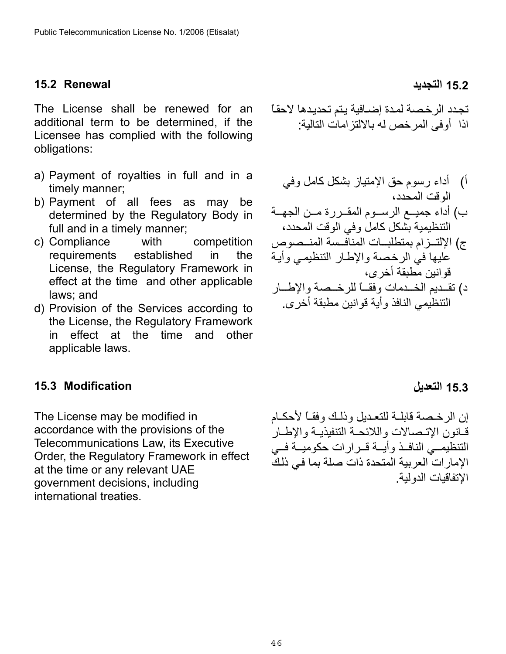#### <span id="page-45-0"></span>**15.2 التجديد Renewal 15.2**

The License shall be renewed for an additional term to be determined, if the Licensee has complied with the following obligations:

- a) Payment of royalties in full and in a timely manner;
- b) Payment of all fees as may be determined by the Regulatory Body in full and in a timely manner;
- c) Compliance with competition requirements established in the License, the Regulatory Framework in effect at the time and other applicable laws; and
- d) Provision of the Services according to the License, the Regulatory Framework in effect at the time and other applicable laws.

#### <span id="page-45-1"></span>**15.3 التعديل Modification 15.3**

The License may be modified in accordance with the provisions of the Telecommunications Law, its Executive Order, the Regulatory Framework in effect at the time or any relevant UAE government decisions, including international treaties.

تجدد الرخصة لمدة إضـافية يتم تحديدها لاحقـًا اذا أوفى المرخص له بالالتزامات التالية :

- أ) أداء رسوم حق الإمتياز بشكل كامل وفي الوقت المحدد،
- ب) أداء جميـع الرسـوم المقـررة مـن الجهــة التنظيمية بشكل كامل وفي الوقت المحدد،
- ج) الإلتــزام بمتطلبــات المنافـسة المنــصوص عليها في الرخصة والإطار التنظيمي وأية قوانين مطبقة أخرى،
- د) تقديم الخـدمات وفقــاً للرخـصة والإطــار التنظيمي النافذ وأية قوانين مطبقة أخرى .

إن الرخصة قابلـة للتعـديل وذلك وفقـاً لأحكـام قانون الاتىصالات واللائحـة التنفيذيـة والإطبار التنظيمي النافذ وأيه قرارات حكوميه في الإمارات العربية المتحدة ذات صلة بما في ذلك الإتفاقيات الدولية.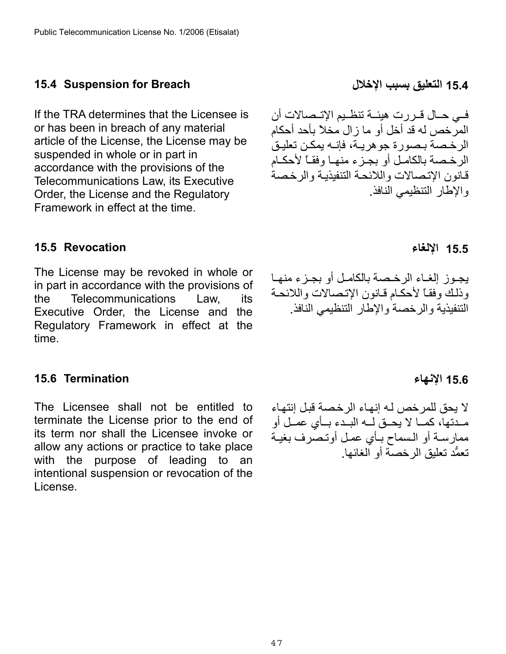### <span id="page-46-0"></span>**15.4 التعليق بسبب الإخلال Breach for Suspension 15.4**

If the TRA determines that the Licensee is or has been in breach of any material article of the License, the License may be suspended in whole or in part in accordance with the provisions of the Telecommunications Law, its Executive Order, the License and the Regulatory Framework in effect at the time.

#### <span id="page-46-1"></span>**15.5 Revocation**

The License may be revoked in whole or in part in accordance with the provisions of the Telecommunications Law, its Executive Order, the License and the Regulatory Framework in effect at the time.

#### <span id="page-46-2"></span>**15.6 الإنهاء Termination 15.6**

The Licensee shall not be entitled to terminate the License prior to the end of its term nor shall the Licensee invoke or allow any actions or practice to take place with the purpose of leading to an intentional suspension or revocation of the License.

فسي حــال قــررت هيئــة تنظــيم الإتــصـالات أن المرخص له قد أخل أو ما زال مخلاً بأحد أحكام الر خصة بيصورة جوهر بية، فإنيه بمكن تعليق الرخصة بالكامل أو بجزء منهـا وفقـاً لأحكـام قانون الإتصالات واللائحة التنفيذيـة والرخصة والإطار التنظيمي النافذ.

### **15.5 الإلغاء**

يجـوز إلغـاء الرخـصة بالكامـل أو بجـزء منهـا وذلك وفقاً لأحكام قانون الإتصالات واللائحة التنفيذية والرخصة والإطار التنظيمي النافذ.

لا يحق للمر خص لـه إنهـاء الر خصـة قبـل إنتهـاء مهدتها، كما لا يحيق له البيدء بسأي عميل أو ممارسة أو السماح بـأي عمل أوتـصرف بغيـة تعمُّد تعليق الرخصة أو الغائها.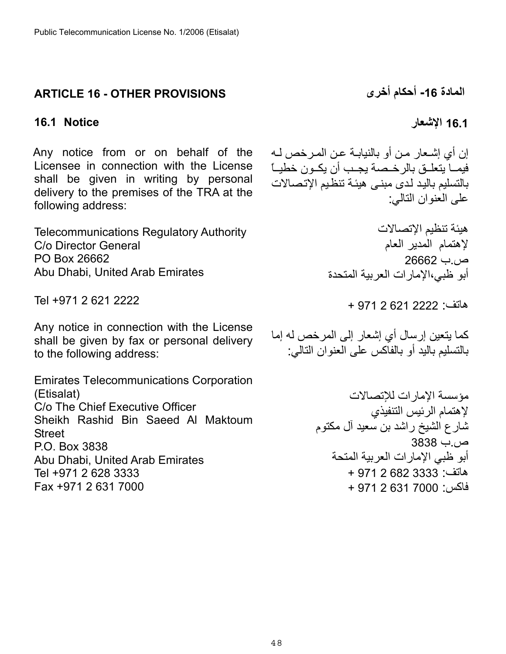## <span id="page-47-0"></span>**المادة -16 أحكام أخرى PROVISIONS OTHER - 16 ARTICLE**

# <span id="page-47-1"></span>**16.1 الإشعار Notice 16.1**

Any notice from or on behalf of the Licensee in connection with the License shall be given in writing by personal delivery to the premises of the TRA at the following address:

Telecommunications Regulatory Authority C/o Director General PO Box 26662 Abu Dhabi, United Arab Emirates

Tel +971 2 621 2222

Any notice in connection with the License shall be given by fax or personal delivery to the following address:

Emirates Telecommunications Corporation (Etisalat) C/o The Chief Executive Officer Sheikh Rashid Bin Saeed Al Maktoum **Street** P.O. Box 3838 Abu Dhabi, United Arab Emirates Tel +971 2 628 3333 Fax +971 2 631 7000

إن أي إشـعار مـن أو بالنيابـة عـن المـرخص لـه فيمـا يتعلــق بالرخــصة يجـب أن يكــون خطيــاً بالتسليم باليد لدى مبنى هيئة تنظيم الإتصالات على العنوان التالي:

> هيئة تنظيم الإتصالات لإهتمام المدير العام ص.ب 26662 أبو ظبي،الإمارات العربية المتحدة

> > هاتف: 2222 621 2 971 +

آما يتعين إرسال أي إشعار إلى المرخص له إما بالتسليم باليد أو بالفاكس على العنوان التالي:

> مؤسسة الإمارات للإتصالات لإهتمام الرئيس التنفيذي شارع الشيخ راشد بن سعيد آل مكتوم ص.ب 3838 أبو ظبي الإمارات العربية المتحة هاتف: 3333 682 2 971 + فاآس: 7000 631 2 971 +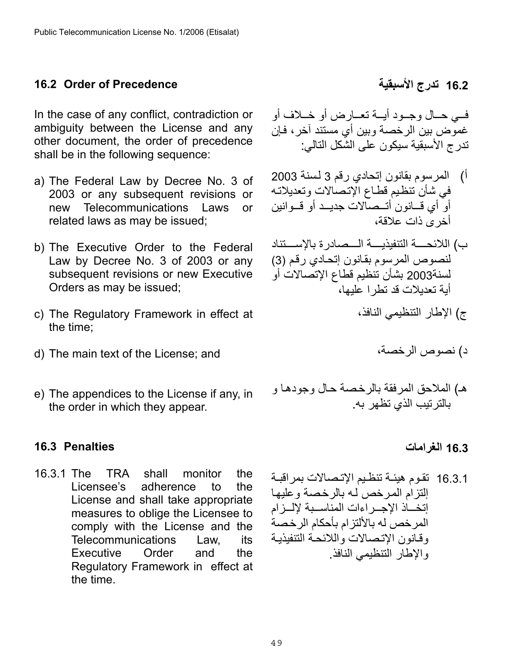### <span id="page-48-0"></span>**16.2 Order of Precedence الأسبقية تدرج 16.2**

In the case of any conflict, contradiction or ambiguity between the License and any other document, the order of precedence shall be in the following sequence:

- a) The Federal Law by Decree No. 3 of 2003 or any subsequent revisions or new Telecommunications Laws or related laws as may be issued;
- b) The Executive Order to the Federal Law by Decree No. 3 of 2003 or any subsequent revisions or new Executive Orders as may be issued;
- c) The Regulatory Framework in effect at the time;
- d) The main text of the License; and
- e) The appendices to the License if any, in the order in which they appear.

#### <span id="page-48-1"></span>**16.3 Penalties**

16.3.1 The TRA shall monitor the Licensee's adherence to the License and shall take appropriate measures to oblige the Licensee to comply with the License and the Telecommunications Law, its Executive Order and the Regulatory Framework in effect at the time.

فمي حـال وجـود أيــة تعـارض أو خـلاف أو غموض بين الرخصة وبين أي مستند آخر، فإن تدرج الأسبقية سيكون على الشكل التالي :

- أ) المرسوم بقانون إتحادي رقم 3 لسنة 2003 في شأن تنظيم قطاع الإتصالات وتعديلاته أو أي قسانون أتسصالات جديــد أو قـــوانين أخرى ذات علاقة،
- ب) اللائحـــة التنفيذيـــة الـــصادر ة بالإســـتناد لنصوص المرسوم بقانون إتحادي رقم (3) لسنة2003 بشأن تنظيم قطاع الإتصالات أو أبة تعدبلات قد تطر ا عليها،
	- ج) الإطار التنظيمي النافذ،

د) نصوص الرخصة،

هـ) الملاحق المرفقة بالرخصة حال وجودها و بالترتيب الذي تظهر به .

#### **16.3 الغرامات**

16.3.1 تقوم هيئـة تنظـيم الإتـصـالات بمر اقبـة إلتزام المرخص له بالرخصة وعليها إتخــاذ الإجــراءات المناســبة لإلــزام المرخص له بالألتزام بأحكام الرخصة وقانون الإتصالات واللائحة التنفيذية والإطار التنظيمي النافذ.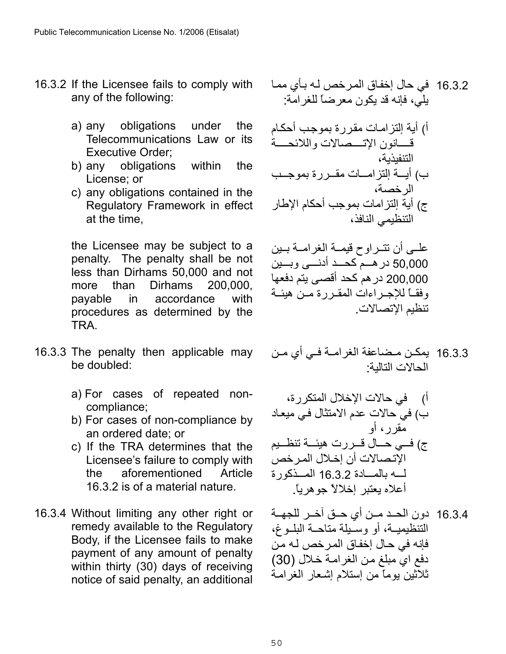- 16.3.2 If the Licensee fails to comply with any of the following:
	- a) any obligations under the Telecommunications Law or its Executive Order;
	- b) any obligations within the License; or
	- c) any obligations contained in the Regulatory Framework in effect at the time,

the Licensee may be subject to a penalty. The penalty shall be not less than Dirhams 50,000 and not more than Dirhams 200,000, payable in accordance with procedures as determined by the TRA.

- 16.3.3 The penalty then applicable may be doubled:
	- a) For cases of repeated noncompliance;
	- b) For cases of non-compliance by an ordered date; or
	- c) If the TRA determines that the Licensee's failure to comply with the aforementioned Article 16.3.2 is of a material nature.
- 16.3.4 Without limiting any other right or remedy available to the Regulatory Body, if the Licensee fails to make payment of any amount of penalty within thirty (30) days of receiving notice of said penalty, an additional

16.3.2 في حال إخفѧاق المѧرخص لѧه بѧأي ممѧا يلي، فإنه قد يكون معرضاً للغرامة :

أ) أبـة إلتز امـات مقر ر ة بموجب أحكـام قسانون الإتسصالات واللائحسة التنفيذية، ب) أيسة إلتزامسات مقسررة بموجسب الرخصة، ج) أية إلتزامات بموجب أحكام الإطار التنظيمي النافذ،

علمي أن تتراوح قيمـة الغرامـة بـين 50,000 در هــم كحــد أدنـــي وبـــين 200,000 در هم كحد أقصىي يتم دفعها وفقاً للإجراءات المقررة من هيئة تنظيم الإتصالات.

16.3.3 يمكن مـضاعفة الغرامـة فـي أي مـن الحالات التالية:

أ) في حالات الإخلال المتكررة، ب) في حالات عدم الامتثال فѧي ميعѧاد مقرر، أو ج) فѧѧѧѧي حѧѧѧѧال قѧѧѧѧررت هيئѧѧѧѧة تنظѧѧѧѧيم الإتѧصالات أن إخѧلال المѧرخص لѧѧѧѧه بالمѧѧѧѧادة 16.3.2 المѧѧѧѧذآورة أعلاه يعتبر إخلالاً جوهرياً .

16.3.4 دون الحـد مـن أي حـق آخـر للجهــة التنظيميــة، أو وسَـبلة متاحــة البلــوغ، فإنه في حال إخفاق المر خص لـه من دفع اي مبلغ من الغرامة خلال (30) ثلاثين يوماً من إستلام إشعار الغرامة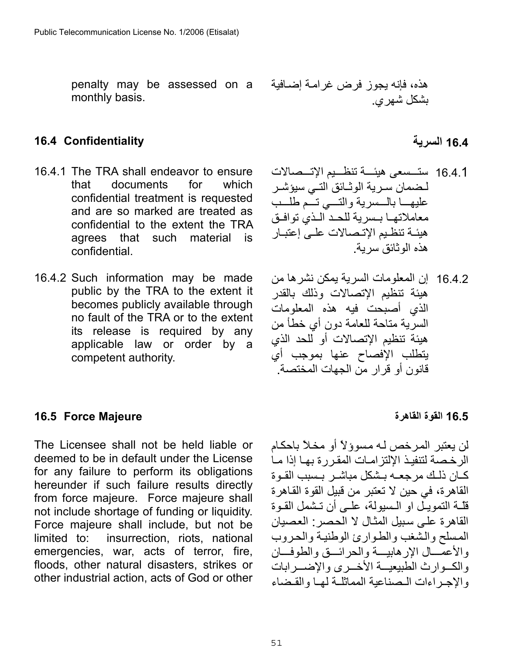penalty may be assessed on a monthly basis.

## هذه، فإنه يجوز فرض غرامـة إضـافية بشكل شهري.

### <span id="page-50-0"></span>**16.4 السرية Confidentiality 16.4**

- 16.4.1 The TRA shall endeavor to ensure that documents for which confidential treatment is requested and are so marked are treated as confidential to the extent the TRA agrees that such material is confidential.
- 16.4.2 Such information may be made public by the TRA to the extent it becomes publicly available through no fault of the TRA or to the extent its release is required by any applicable law or order by a competent authority.

- 16.4.1 ستــسعى هيئـــة تنظــيم الإتــصالات لـضمان سـر ية الوثـائق التـي سيؤشـر عليهـــا بالـــسرية والتـــى تـــّم طلـــب معاملاتها بهر بة للحد اللذي توافيق هيئـة تنظـيم الإتـصالات علـى إعتبـار هذه الوثائق سرية.
- 16.4.2 إن المعلومات السرية يمكن نشرها من هيئة تنظيم الإتصالات وذلك بالقدر الذي أصبحت فيه هذه المعلومات السرية متاحة للعامة دون أي خطأ من هيئة تنظيم الإتصالات أو للحد الذي يتطلب الإفصاح عنها بموجب أي قانون أو قرار من الجهات المختصة.

#### <span id="page-50-1"></span>**16.5 القوة القاهرة Majeure Force 16.5**

The Licensee shall not be held liable or deemed to be in default under the License for any failure to perform its obligations hereunder if such failure results directly from force majeure. Force majeure shall not include shortage of funding or liquidity. Force majeure shall include, but not be limited to: insurrection, riots, national emergencies, war, acts of terror, fire, floods, other natural disasters, strikes or other industrial action, acts of God or other

لن بعتبر المر خص له مسوؤلاً أو مخلاً باحكام الرخصة لتنفيذ الإلتز امات المقررة بها إذا ما كـان ذلـك مر جعــه بـشكل مباشـر بـسبب القـوة القاهرة، في حين لا تعتبر من قبيل القوة القѧاهرة قلّهٔ التمويـلْ او الـسبولة، علـي أن تـشمل القـوة القاهرة على سبيل المثال لا الحصر: العصيان المسلح والشغب والطوارئ الوطنية والحروب والأعمَـــال الإرهابيـــة والحرائـــق والطوفـــان والك وارث الطبيعيــة الأخــرى والإضــرابات والإجراءات البصناعية المماثلية لهيا والقيضاء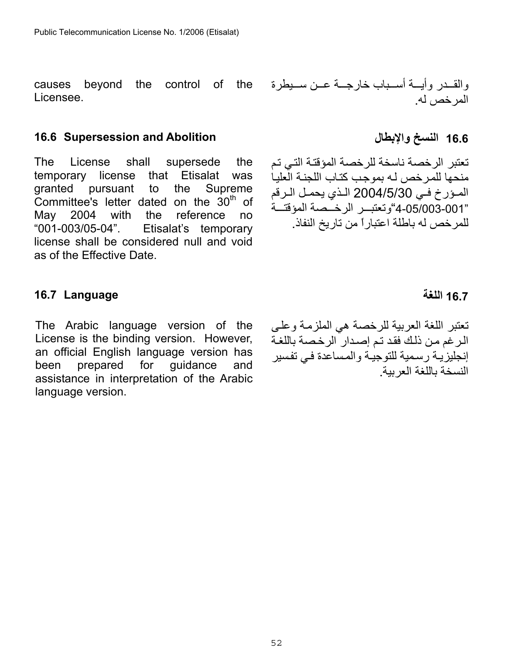causes beyond the control of the Licensee.

#### <span id="page-51-0"></span>**16.6 Supersession and Abolition والإبطال النسخ 16.6**

The License shall supersede the temporary license that Etisalat was granted pursuant to the Supreme Committee's letter dated on the  $30<sup>th</sup>$  of May 2004 with the reference no "001-003/05-04". Etisalat's temporary license shall be considered null and void as of the Effective Date.

### <span id="page-51-1"></span>**16.7 اللغة Language 16.7**

The Arabic language version of the License is the binding version. However, an official English language version has been prepared for guidance and assistance in interpretation of the Arabic language version.

والقــدر وأيـــة أســباب خارجـــة عــن ســيطرة المرخص له.

تعتبر الرخصة ناسخة للرخصة المؤقتة التي تم منحها للمر خص لـه بموجب كتـاب اللجنـة العلبـا الموزرخ في 3004/5/30 الذي يحمل الرقم "4-05/003-001"وتعتب الرخصمة المؤقتة للمرخص له باطلة اعتباراً من تاريخ النفاذ.

تعتبر اللغة العربية للرخصة هي الملزمة وعلى الرغم من ذلك فقد تم إصدار الرخصة باللغة إنجليزيـة رسمية للتوجيـة والمساعدة فـي تفسير النسخة باللغة العربية .